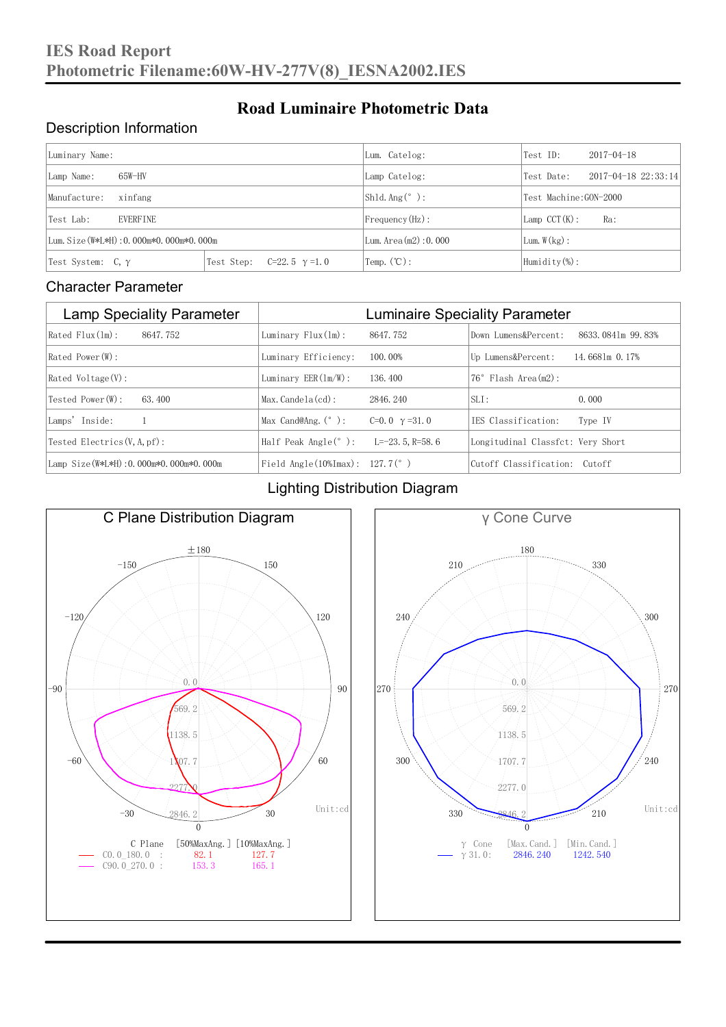#### Description Information

| Luminary Name:                          |                                     | Lum. Catelog:           | Test ID:                    | $2017 - 04 - 18$ |  |
|-----------------------------------------|-------------------------------------|-------------------------|-----------------------------|------------------|--|
| 65W-HV<br>Lamp Name:                    | Lamp Catelog:                       | Test Date:              | $2017 - 04 - 18$ $22:33:14$ |                  |  |
| Manufacture:<br>xinfang                 |                                     | $\vert$ Sh1d. Ang (° ): | Test Machine:GON-2000       |                  |  |
| Test Lab:<br><b>EVERFINE</b>            |                                     | $Frequency(Hz)$ :       | $Lamp$ CCT(K):              | Ra:              |  |
| Lum. Size (W*L*H): 0.000m*0.000m*0.000m |                                     | Lum. Area (m2) : 0.000  | Lum. $W(kg)$ :              |                  |  |
| Test System: $C, \gamma$                | Test Step:<br>$C=22.5$ $\gamma=1.0$ | Temp. $(\mathbb{C})$ :  | Humidity $(\%)$ :           |                  |  |

**Road Luminaire Photometric Data**

#### Character Parameter

| <b>Lamp Speciality Parameter</b>       | <b>Luminaire Speciality Parameter</b>                               |                      |                                   |                     |  |
|----------------------------------------|---------------------------------------------------------------------|----------------------|-----------------------------------|---------------------|--|
| Rated Flux(1m):<br>8647.752            | Luminary $Flux(ln)$ :                                               | 8647.752             | Down Lumens&Percent:              | 8633, 0841m 99, 83% |  |
| Rated Power (W):                       | Luminary Efficiency:                                                | 100.00%              | Up Lumens&Percent:                | 14.6681m 0.17%      |  |
| $Rated$ Voltage $(V)$ :                | Luminary $EER(\ln/W)$ :                                             | 136, 400             | Flash Area(m2):<br>$76^{\circ}$   |                     |  |
| Tested Power (W):<br>63.400            | $Max. Candela(cd)$ :                                                | 2846, 240            | $SLI$ :                           | 0.000               |  |
| Lamps' Inside:                         | Max Cand@Ang. $(°)$ :                                               | C=0.0 $\gamma$ =31.0 | IES Classification:               | Type IV             |  |
| Tested Electrics $(V, A, pf)$ :        | Half Peak Angle $(°)$ :                                             | L=-23. 5. R=58. 6    | Longitudinal Classfct: Very Short |                     |  |
| Lamp Size(W*L*H): 0.000m*0.000m*0.000m | Field Angle $(10\text{\%} \text{Im} \text{ax})$ : 127.7 $(^\circ$ ) |                      | Cutoff Classification: Cutoff     |                     |  |

#### Lighting Distribution Diagram



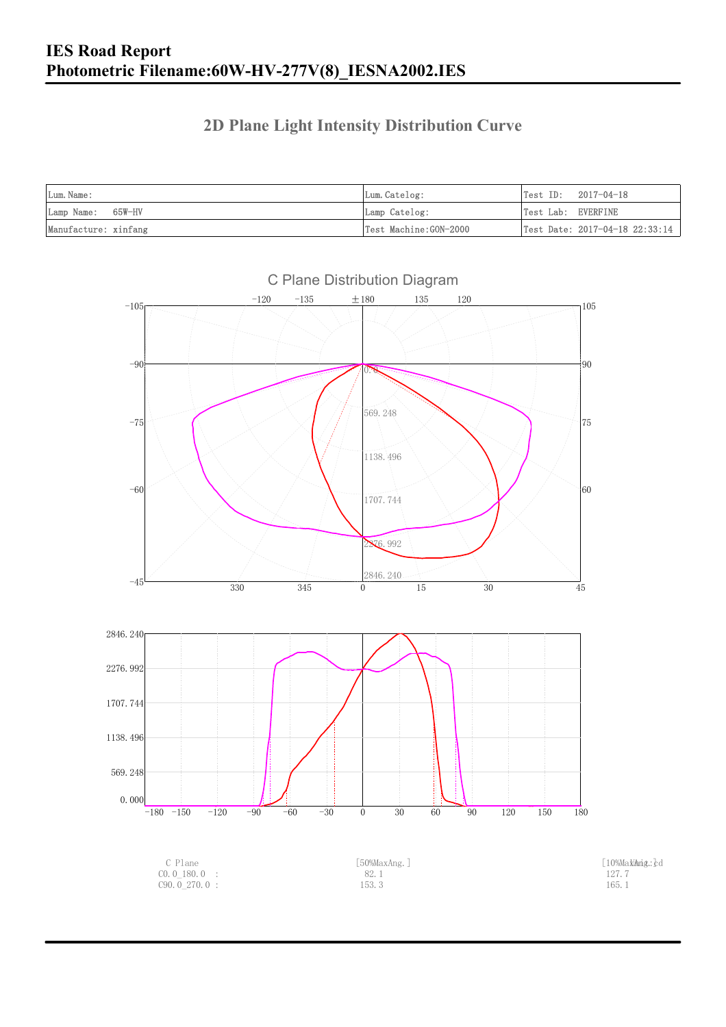### **2D Plane Light Intensity Distribution Curve**

| Lum. Name:           | Lum.Catelog:          | Test ID:<br>2017-04-18                         |
|----------------------|-----------------------|------------------------------------------------|
| Lamp Name: 65W-HV    | Lamp Catelog:         | Test Lab: EVERFINE                             |
| Manufacture: xinfang | Test Machine:GON-2000 | $\vert$ Test Date: 2017-04-18 22:33:14 $\vert$ |

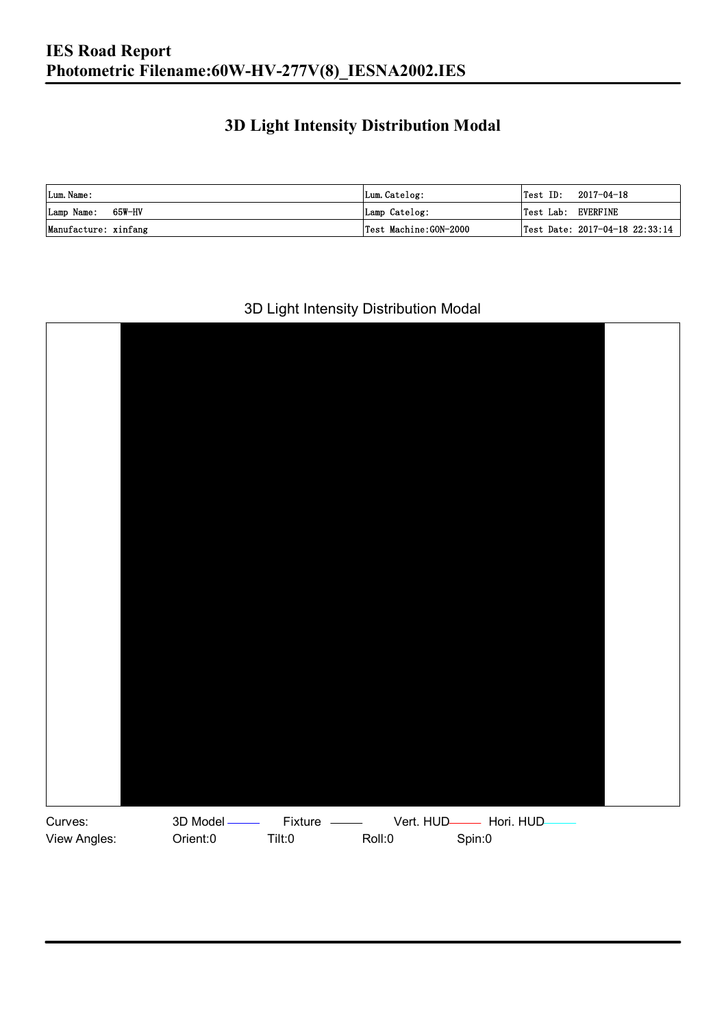### **3D Light Intensity Distribution Modal**

| Lum. Name:           | Lum.Catelog:          |                    | $\textsf{Test ID:} \quad 2017-04-18$ |
|----------------------|-----------------------|--------------------|--------------------------------------|
| Lamp Name: 65W-HV    | Lamp Catelog:         | Test Lab: EVERFINE |                                      |
| Manufacture: xinfang | Test Machine:GON-2000 |                    | Test Date: 2017-04-18 22:33:14       |

#### 3D Light Intensity Distribution Modal

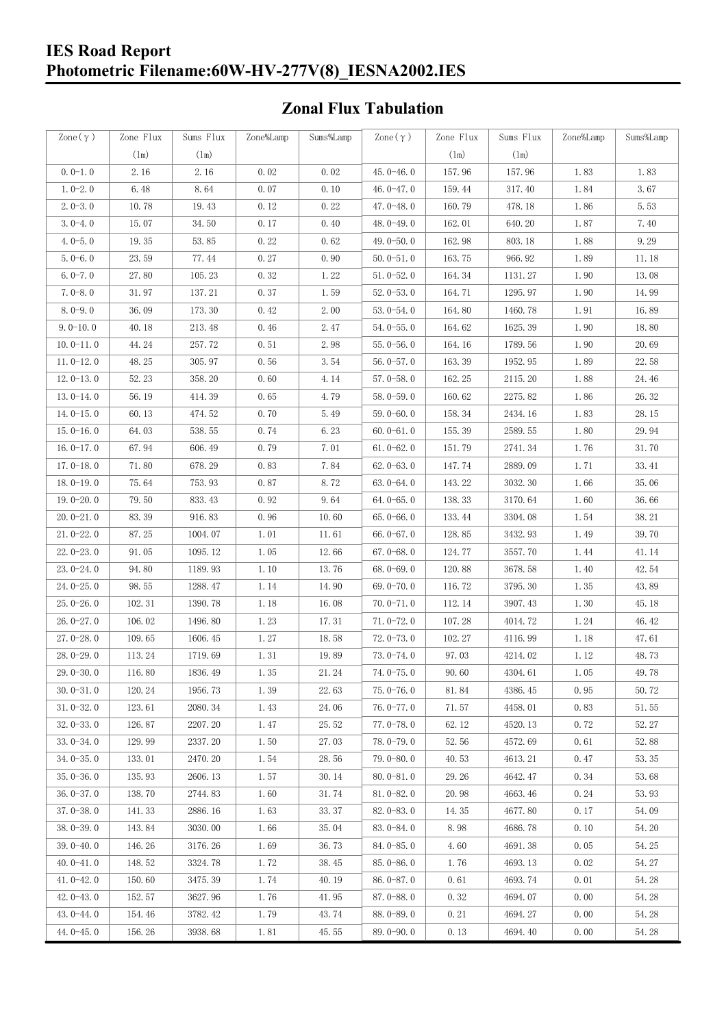### **IES Road Report Photometric Filename:60W-HV-277V(8)\_IESNA2002.IES**

### **Zonal Flux Tabulation**

| Zone $(\gamma)$ | Zone Flux | Sums Flux | Zone%Lamp | Sums%Lamp | Zone $(\gamma)$ | Zone Flux | Sums Flux | Zone%Lamp | Sums%Lamp |
|-----------------|-----------|-----------|-----------|-----------|-----------------|-----------|-----------|-----------|-----------|
|                 | (1m)      | (1m)      |           |           |                 | (1m)      | (1m)      |           |           |
| $0.0-1.0$       | 2.16      | 2.16      | 0.02      | 0.02      | $45.0 - 46.0$   | 157.96    | 157.96    | 1.83      | 1.83      |
| $1.0 - 2.0$     | 6.48      | 8.64      | 0.07      | 0.10      | 46.0 $-47.0$    | 159.44    | 317.40    | 1.84      | 3.67      |
| $2.0 - 3.0$     | 10.78     | 19.43     | 0.12      | 0.22      | 47.0-48.0       | 160.79    | 478.18    | 1.86      | 5.53      |
| $3.0 - 4.0$     | 15.07     | 34.50     | 0.17      | 0.40      | 48.0-49.0       | 162.01    | 640.20    | 1.87      | 7.40      |
| $4.0 - 5.0$     | 19.35     | 53.85     | 0.22      | 0.62      | 49.0 $-50.0$    | 162.98    | 803.18    | 1.88      | 9.29      |
| $5.0 - 6.0$     | 23.59     | 77.44     | 0.27      | 0.90      | $50.0 - 51.0$   | 163.75    | 966.92    | 1.89      | 11.18     |
| $6.0 - 7.0$     | 27.80     | 105.23    | 0.32      | 1.22      | $51.0 - 52.0$   | 164.34    | 1131.27   | 1.90      | 13.08     |
| $7.0 - 8.0$     | 31.97     | 137.21    | 0.37      | 1.59      | $52.0 - 53.0$   | 164.71    | 1295.97   | 1.90      | 14.99     |
| $8.0 - 9.0$     | 36.09     | 173.30    | 0.42      | 2.00      | $53.0 - 54.0$   | 164.80    | 1460.78   | 1.91      | 16.89     |
| $9.0 - 10.0$    | 40.18     | 213.48    | 0.46      | 2.47      | $54.0 - 55.0$   | 164.62    | 1625.39   | 1.90      | 18.80     |
| $10.0 - 11.0$   | 44.24     | 257.72    | 0.51      | 2.98      | $55.0 - 56.0$   | 164.16    | 1789.56   | 1.90      | 20.69     |
| $11.0 - 12.0$   | 48.25     | 305.97    | 0.56      | 3.54      | $56.0 - 57.0$   | 163.39    | 1952.95   | 1.89      | 22.58     |
| $12.0 - 13.0$   | 52.23     | 358.20    | 0.60      | 4.14      | $57.0 - 58.0$   | 162.25    | 2115.20   | 1.88      | 24.46     |
| $13.0 - 14.0$   | 56.19     | 414.39    | 0.65      | 4.79      | $58.0 - 59.0$   | 160.62    | 2275.82   | 1.86      | 26.32     |
| $14.0 - 15.0$   | 60.13     | 474.52    | 0.70      | 5.49      | 59.0-60.0       | 158.34    | 2434.16   | 1.83      | 28.15     |
| $15.0 - 16.0$   | 64.03     | 538.55    | 0.74      | 6.23      | $60.0 - 61.0$   | 155.39    | 2589.55   | 1.80      | 29.94     |
| $16.0 - 17.0$   | 67.94     | 606.49    | 0.79      | 7.01      | $61.0 - 62.0$   | 151.79    | 2741.34   | 1.76      | 31.70     |
| $17.0 - 18.0$   | 71.80     | 678.29    | 0.83      | 7.84      | $62.0 - 63.0$   | 147.74    | 2889.09   | 1.71      | 33.41     |
| $18.0 - 19.0$   | 75.64     | 753.93    | 0.87      | 8.72      | $63.0 - 64.0$   | 143.22    | 3032.30   | 1.66      | 35.06     |
| $19.0 - 20.0$   | 79.50     | 833.43    | 0.92      | 9.64      | $64.0 - 65.0$   | 138.33    | 3170.64   | 1.60      | 36.66     |
| $20.0 - 21.0$   | 83.39     | 916.83    | 0.96      | 10.60     | $65.0 - 66.0$   | 133.44    | 3304.08   | 1.54      | 38.21     |
| $21.0 - 22.0$   | 87.25     | 1004.07   | 1.01      | 11.61     | 66.0 $-67.0$    | 128.85    | 3432.93   | 1.49      | 39.70     |
| $22.0 - 23.0$   | 91.05     | 1095.12   | 1.05      | 12.66     | $67.0 - 68.0$   | 124.77    | 3557.70   | 1.44      | 41.14     |
| $23.0 - 24.0$   | 94.80     | 1189.93   | 1.10      | 13.76     | $68.0 - 69.0$   | 120.88    | 3678.58   | 1.40      | 42.54     |
| $24.0 - 25.0$   | 98.55     | 1288.47   | 1.14      | 14.90     | 69.0 $-70.0$    | 116.72    | 3795.30   | 1.35      | 43.89     |
| $25.0 - 26.0$   | 102.31    | 1390.78   | 1.18      | 16.08     | $70.0 - 71.0$   | 112.14    | 3907.43   | 1.30      | 45.18     |
| $26.0 - 27.0$   | 106.02    | 1496.80   | 1.23      | 17.31     | $71.0 - 72.0$   | 107.28    | 4014.72   | 1.24      | 46.42     |
| $27.0 - 28.0$   | 109.65    | 1606.45   | 1.27      | 18.58     | $72.0 - 73.0$   | 102.27    | 4116.99   | 1.18      | 47.61     |
| $28.0 - 29.0$   | 113.24    | 1719.69   | 1.31      | 19.89     | 73.0-74.0       | 97.03     | 4214.02   | 1.12      | 48.73     |
| $29.0 - 30.0$   | 116.80    | 1836.49   | 1.35      | 21.24     | 74.0-75.0       | 90.60     | 4304.61   | 1.05      | 49.78     |
| $30.0 - 31.0$   | 120.24    | 1956.73   | 1.39      | 22.63     | $75.0 - 76.0$   | 81.84     | 4386.45   | 0.95      | 50.72     |
| $31.0 - 32.0$   | 123.61    | 2080.34   | 1.43      | 24.06     | $76.0 - 77.0$   | 71.57     | 4458.01   | 0.83      | 51.55     |
| $32.0 - 33.0$   | 126.87    | 2207.20   | 1.47      | 25.52     | $77.0 - 78.0$   | 62.12     | 4520.13   | 0.72      | 52.27     |
| $33.0 - 34.0$   | 129.99    | 2337.20   | 1.50      | 27.03     | $78.0 - 79.0$   | 52.56     | 4572.69   | 0.61      | 52.88     |
| $34.0 - 35.0$   | 133.01    | 2470.20   | 1.54      | 28.56     | 79.0-80.0       | 40.53     | 4613.21   | 0.47      | 53.35     |
| $35.0 - 36.0$   | 135.93    | 2606.13   | 1.57      | 30.14     | $80.0 - 81.0$   | 29.26     | 4642.47   | 0.34      | 53.68     |
| $36.0 - 37.0$   | 138.70    | 2744.83   | 1.60      | 31.74     | $81.0 - 82.0$   | 20.98     | 4663.46   | 0.24      | 53.93     |
| $37.0 - 38.0$   | 141.33    | 2886.16   | 1.63      | 33.37     | $82.0 - 83.0$   | 14.35     | 4677.80   | 0.17      | 54.09     |
| $38,0-39,0$     | 143.84    | 3030.00   | 1.66      | 35.04     | 83.0-84.0       | 8.98      | 4686.78   | 0.10      | 54.20     |
| $39.0 - 40.0$   | 146.26    | 3176.26   | 1.69      | 36.73     | $84.0 - 85.0$   | 4.60      | 4691.38   | 0.05      | 54.25     |
| $40.0 - 41.0$   | 148.52    | 3324.78   | 1.72      | 38.45     | 85.0-86.0       | 1.76      | 4693.13   | 0.02      | 54.27     |
| $41.0 - 42.0$   | 150.60    | 3475.39   | 1.74      | 40.19     | 86.0-87.0       | 0.61      | 4693.74   | 0.01      | 54.28     |
| $42.0 - 43.0$   | 152.57    | 3627.96   | 1.76      | 41.95     | $87.0 - 88.0$   | 0.32      | 4694.07   | 0.00      | 54.28     |
| $43.0 - 44.0$   | 154.46    | 3782.42   | 1.79      | 43.74     | $88.0 - 89.0$   | 0.21      | 4694.27   | 0.00      | 54.28     |
| 44.0-45.0       | 156.26    | 3938.68   | 1.81      | 45.55     | 89.0-90.0       | 0.13      | 4694.40   | 0.00      | 54.28     |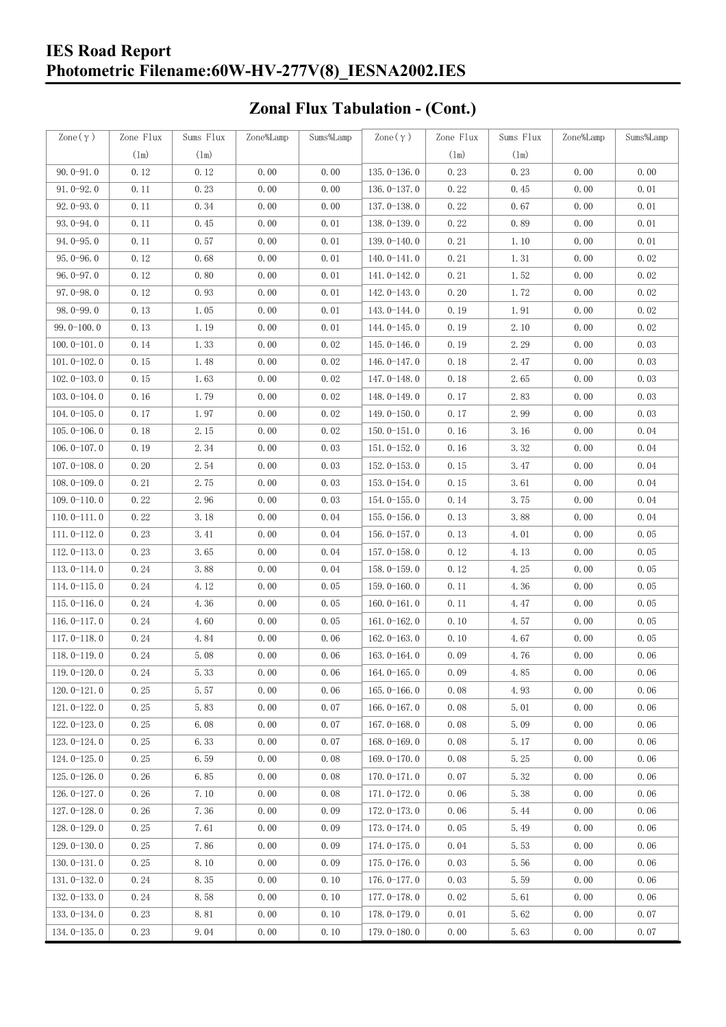### **IES Road Report Photometric Filename:60W-HV-277V(8)\_IESNA2002.IES**

### **Zonal Flux Tabulation - (Cont.)**

| Zone $(\gamma)$ | Zone Flux | Sums Flux     | Zone%Lamp | Sums%Lamp | Zone $(\gamma)$ | Zone Flux     | Sums Flux     | Zone%Lamp | Sums%Lamp |
|-----------------|-----------|---------------|-----------|-----------|-----------------|---------------|---------------|-----------|-----------|
|                 | (1m)      | $(\text{lm})$ |           |           |                 | $(\text{lm})$ | $(\text{lm})$ |           |           |
| $90.0 - 91.0$   | 0.12      | 0.12          | 0.00      | 0.00      | $135.0 - 136.0$ | 0.23          | 0.23          | 0.00      | 0.00      |
| $91.0 - 92.0$   | 0.11      | 0.23          | 0.00      | 0.00      | $136.0 - 137.0$ | 0.22          | 0.45          | 0.00      | 0.01      |
| $92.0 - 93.0$   | 0.11      | 0.34          | 0.00      | 0.00      | 137.0-138.0     | 0.22          | 0.67          | 0.00      | 0.01      |
| $93.0 - 94.0$   | 0.11      | 0.45          | 0.00      | 0.01      | 138.0-139.0     | 0.22          | 0.89          | 0.00      | 0.01      |
| $94.0 - 95.0$   | 0.11      | 0.57          | 0.00      | 0.01      | 139.0-140.0     | 0.21          | 1.10          | 0.00      | 0.01      |
| $95.0 - 96.0$   | 0.12      | 0.68          | 0.00      | 0.01      | $140.0 - 141.0$ | 0.21          | 1.31          | 0.00      | 0.02      |
| $96.0 - 97.0$   | 0.12      | 0.80          | 0.00      | 0.01      | 141.0-142.0     | 0.21          | 1.52          | 0.00      | 0.02      |
| $97.0 - 98.0$   | 0.12      | 0.93          | 0.00      | 0.01      | 142.0-143.0     | 0.20          | 1.72          | 0.00      | 0.02      |
| $98.0 - 99.0$   | 0.13      | 1.05          | 0.00      | 0.01      | 143.0-144.0     | 0.19          | 1.91          | 0.00      | 0.02      |
| $99.0 - 100.0$  | 0.13      | 1.19          | 0.00      | 0.01      | 144.0-145.0     | 0.19          | 2.10          | 0.00      | 0.02      |
| $100.0 - 101.0$ | 0.14      | 1.33          | 0.00      | 0.02      | $145.0 - 146.0$ | 0.19          | 2.29          | 0.00      | 0.03      |
| $101.0 - 102.0$ | 0.15      | 1.48          | 0.00      | 0.02      | $146.0 - 147.0$ | 0.18          | 2.47          | 0.00      | 0.03      |
| $102.0 - 103.0$ | 0.15      | 1.63          | 0.00      | 0.02      | 147.0-148.0     | 0.18          | 2.65          | 0.00      | 0.03      |
| $103.0 - 104.0$ | 0.16      | 1.79          | 0.00      | 0.02      | 148.0-149.0     | 0.17          | 2.83          | 0.00      | 0.03      |
| $104.0 - 105.0$ | 0.17      | 1.97          | 0.00      | 0.02      | $149.0 - 150.0$ | 0.17          | 2.99          | 0.00      | 0.03      |
| $105.0 - 106.0$ | 0.18      | 2.15          | 0.00      | 0.02      | $150.0 - 151.0$ | 0.16          | 3.16          | 0.00      | 0.04      |
| 106.0-107.0     | 0.19      | 2.34          | 0.00      | 0.03      | $151.0 - 152.0$ | 0.16          | 3.32          | 0.00      | 0.04      |
| $107.0 - 108.0$ | 0.20      | 2.54          | 0.00      | 0.03      | $152.0 - 153.0$ | 0.15          | 3.47          | 0.00      | 0.04      |
| $108.0 - 109.0$ | 0.21      | 2.75          | 0.00      | 0.03      | $153.0 - 154.0$ | 0.15          | 3.61          | 0.00      | 0.04      |
| $109.0 - 110.0$ | 0.22      | 2.96          | 0.00      | 0.03      | 154.0-155.0     | 0.14          | 3.75          | 0.00      | 0.04      |
| $110.0 - 111.0$ | 0.22      | 3.18          | 0.00      | 0.04      | $155.0 - 156.0$ | 0.13          | 3.88          | 0.00      | 0.04      |
| $111.0 - 112.0$ | 0.23      | 3.41          | 0.00      | 0.04      | $156.0 - 157.0$ | 0.13          | 4.01          | 0.00      | 0.05      |
| $112.0 - 113.0$ | 0.23      | 3.65          | 0.00      | 0.04      | $157.0 - 158.0$ | 0.12          | 4.13          | 0.00      | 0.05      |
| $113.0 - 114.0$ | 0.24      | 3.88          | 0.00      | 0.04      | 158.0-159.0     | 0.12          | 4.25          | 0.00      | 0.05      |
| $114.0 - 115.0$ | 0.24      | 4.12          | 0.00      | 0.05      | $159.0 - 160.0$ | 0.11          | 4.36          | 0.00      | 0.05      |
| $115.0 - 116.0$ | 0.24      | 4.36          | 0.00      | 0.05      | $160.0 - 161.0$ | 0.11          | 4.47          | 0.00      | 0.05      |
| $116.0 - 117.0$ | 0.24      | 4.60          | 0.00      | 0.05      | $161.0 - 162.0$ | 0.10          | 4.57          | 0.00      | 0.05      |
| $117.0 - 118.0$ | 0.24      | 4.84          | 0.00      | 0.06      | $162.0 - 163.0$ | 0.10          | 4.67          | 0.00      | 0.05      |
| $118.0 - 119.0$ | 0.24      | 5.08          | 0.00      | 0.06      | $163.0 - 164.0$ | 0.09          | 4.76          | 0.00      | 0.06      |
| $119.0 - 120.0$ | 0.24      | 5.33          | 0.00      | 0.06      | $164.0 - 165.0$ | 0.09          | 4.85          | 0.00      | $0.06\,$  |
| $120.0 - 121.0$ | 0.25      | 5.57          | 0.00      | 0.06      | $165.0 - 166.0$ | 0.08          | 4.93          | 0.00      | 0.06      |
| $121.0 - 122.0$ | 0.25      | 5.83          | 0.00      | 0.07      | $166.0 - 167.0$ | 0.08          | 5.01          | 0.00      | 0.06      |
| $122.0 - 123.0$ | 0.25      | 6.08          | 0.00      | 0.07      | $167.0 - 168.0$ | 0.08          | 5.09          | 0.00      | 0.06      |
| $123.0 - 124.0$ | 0.25      | 6.33          | 0.00      | 0.07      | $168.0 - 169.0$ | 0.08          | 5.17          | 0.00      | 0.06      |
| $124.0 - 125.0$ | 0.25      | 6.59          | 0.00      | 0.08      | 169.0-170.0     | 0.08          | 5.25          | 0.00      | 0.06      |
| $125.0 - 126.0$ | 0.26      | 6.85          | 0.00      | 0.08      | $170.0 - 171.0$ | 0.07          | 5.32          | 0.00      | 0.06      |
| 126.0-127.0     | 0.26      | 7.10          | 0.00      | 0.08      | 171.0-172.0     | 0.06          | 5.38          | 0.00      | 0.06      |
| $127.0 - 128.0$ | 0.26      | 7.36          | 0.00      | 0.09      | 172.0-173.0     | 0.06          | 5.44          | 0.00      | 0.06      |
| $128.0 - 129.0$ | 0.25      | 7.61          | 0.00      | 0.09      | 173.0-174.0     | 0.05          | 5.49          | 0.00      | 0.06      |
| $129.0 - 130.0$ | 0.25      | 7.86          | 0.00      | 0.09      | 174.0-175.0     | 0.04          | 5.53          | 0.00      | 0.06      |
| $130.0 - 131.0$ | 0.25      | 8.10          | 0.00      | 0.09      | $175.0 - 176.0$ | 0.03          | 5.56          | 0.00      | 0.06      |
| $131.0 - 132.0$ | 0.24      | 8.35          | 0.00      | 0.10      | 176.0-177.0     | 0.03          | 5.59          | 0.00      | 0.06      |
| $132.0 - 133.0$ | 0.24      | 8.58          | 0.00      | 0.10      | 177.0-178.0     | 0.02          | 5.61          | 0.00      | 0.06      |
| $133.0 - 134.0$ | 0.23      | 8.81          | 0.00      | 0.10      | 178.0-179.0     | 0.01          | 5.62          | 0.00      | 0.07      |
| $134.0 - 135.0$ | 0.23      | 9.04          | 0.00      | 0.10      | $179.0 - 180.0$ | 0.00          | 5.63          | 0.00      | 0.07      |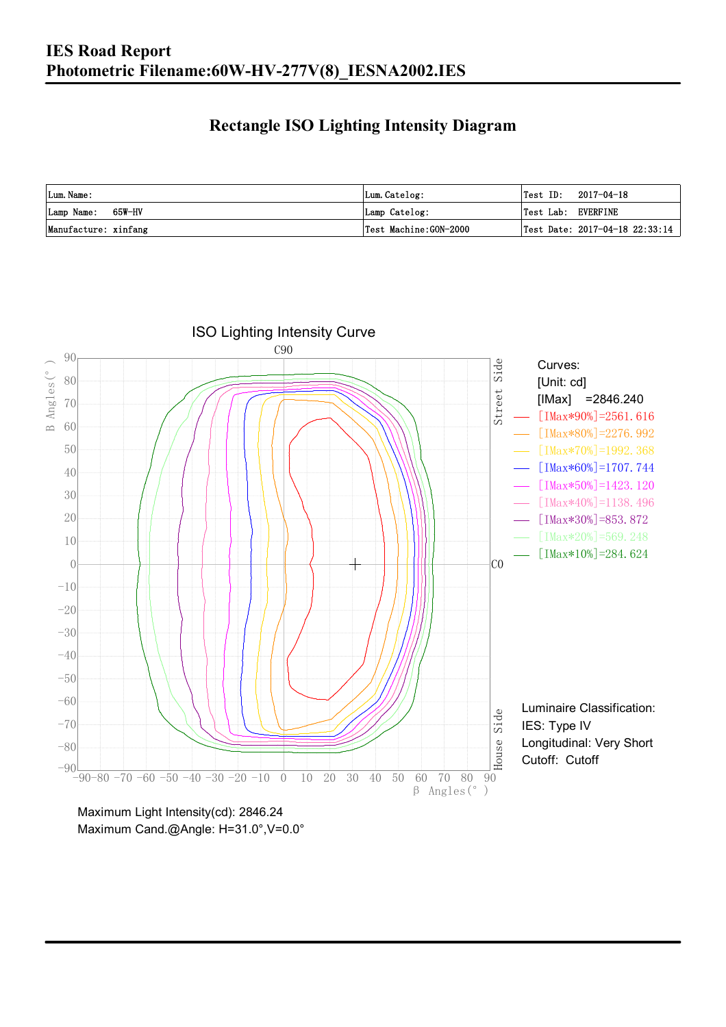### **Rectangle ISO Lighting Intensity Diagram**

| Lum. Name:           | Lum.Catelog:          | $\textsf{Test ID:} \quad 2017-04-18$ |
|----------------------|-----------------------|--------------------------------------|
| Lamp Name: 65W-HV    | Lamp Catelog:         | Test Lab: EVERFINE                   |
| Manufacture: xinfang | Test Machine:GON-2000 | Test Date: $2017-04-18$ $22:33:14$   |



Maximum Cand.@Angle: H=31.0°,V=0.0°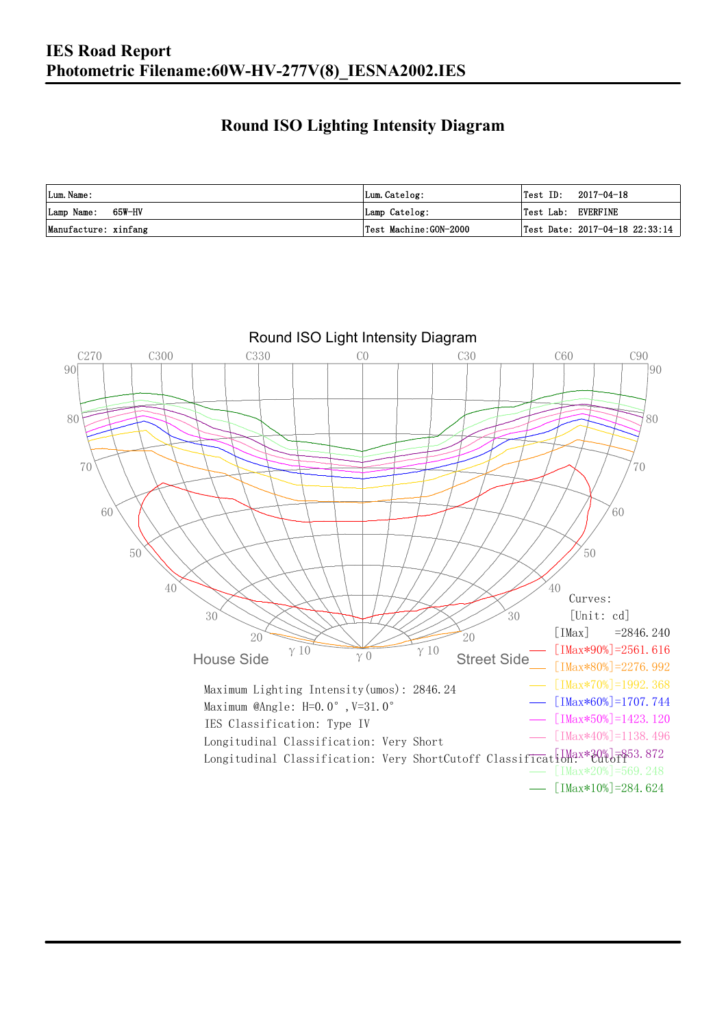#### **Round ISO Lighting Intensity Diagram**

| Lum. Name:           | Lum.Catelog:          |                    | $\textsf{Test ID:} \quad 2017-04-18$ |
|----------------------|-----------------------|--------------------|--------------------------------------|
| Lamp Name: 65W-HV    | Lamp Catelog:         | Test Lab: EVERFINE |                                      |
| Manufacture: xinfang | Test Machine:GON-2000 |                    | Test Date: 2017-04-18 22:33:14       |

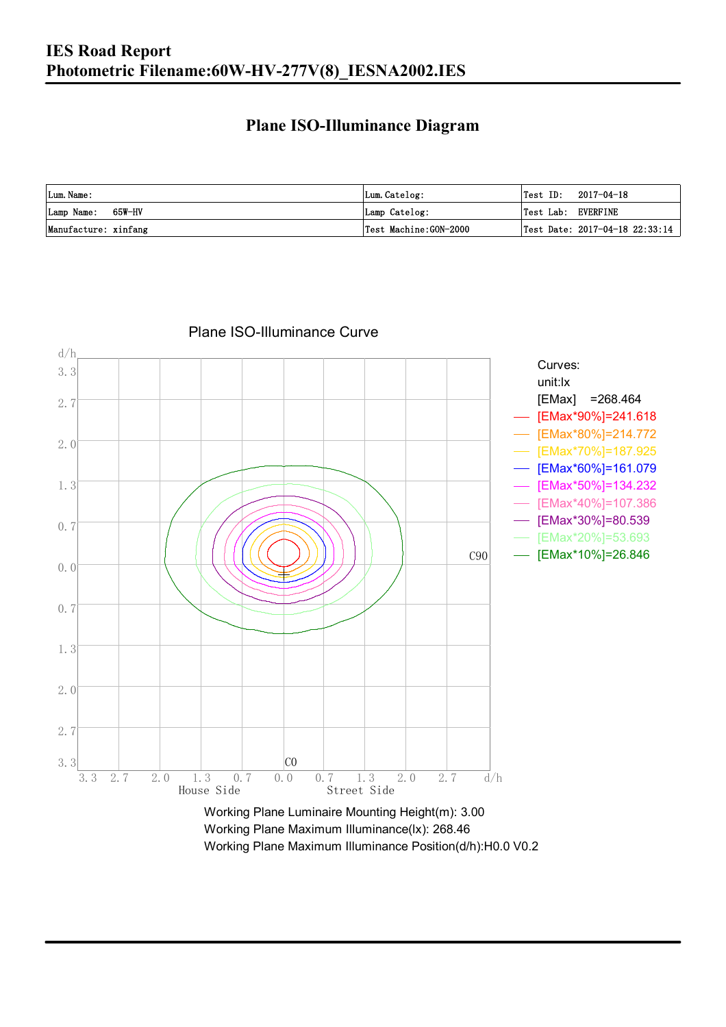### **Plane ISO-Illuminance Diagram**

| Lum. Name:           | Lum.Catelog:          | $\textsf{Test ID:} \quad 2017-04-18$   |
|----------------------|-----------------------|----------------------------------------|
| Lamp Name: 65W-HV    | Lamp Catelog:         | Test Lab: EVERFINE                     |
| Manufacture: xinfang | Test Machine:GON-2000 | $\vert$ Test Date: 2017-04-18 22:33:14 |



Plane ISO-Illuminance Curve

Working Plane Maximum Illuminance(lx): 268.46 Working Plane Maximum Illuminance Position(d/h):H0.0 V0.2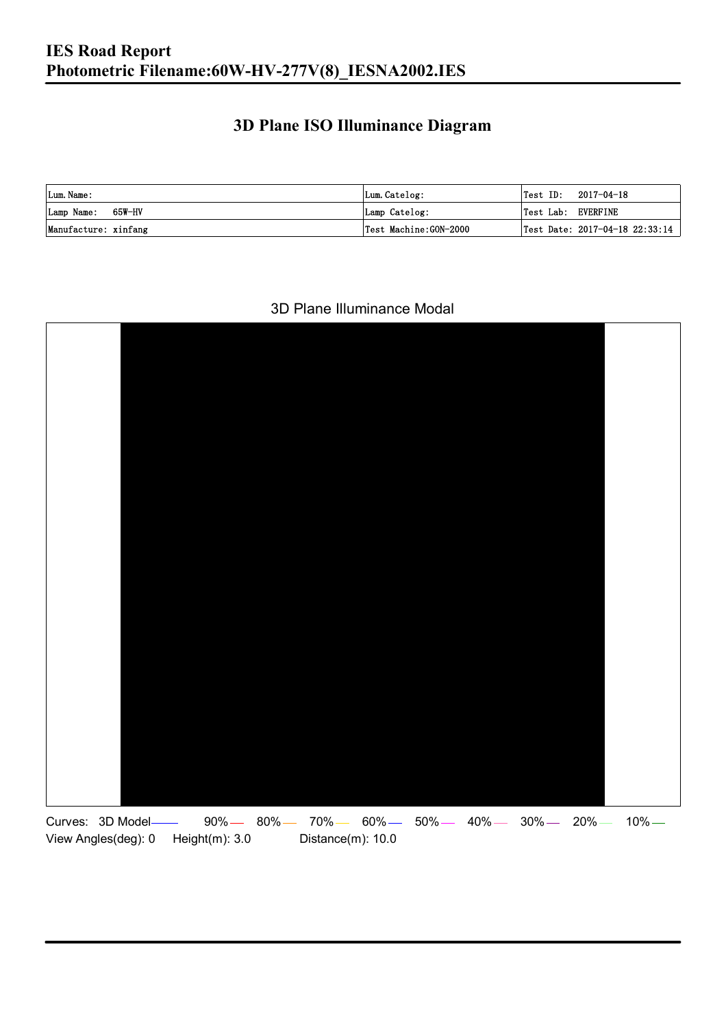#### **3D Plane ISO Illuminance Diagram**

| Lum. Name:           | Lum.Catelog:          |                    | $\textsf{Test ID:} \quad 2017-04-18$ |
|----------------------|-----------------------|--------------------|--------------------------------------|
| Lamp Name: 65W-HV    | Lamp Catelog:         | Test Lab: EVERFINE |                                      |
| Manufacture: xinfang | Test Machine:GON-2000 |                    | Test Date: 2017-04-18 22:33:14       |

#### 3D Plane Illuminance Modal

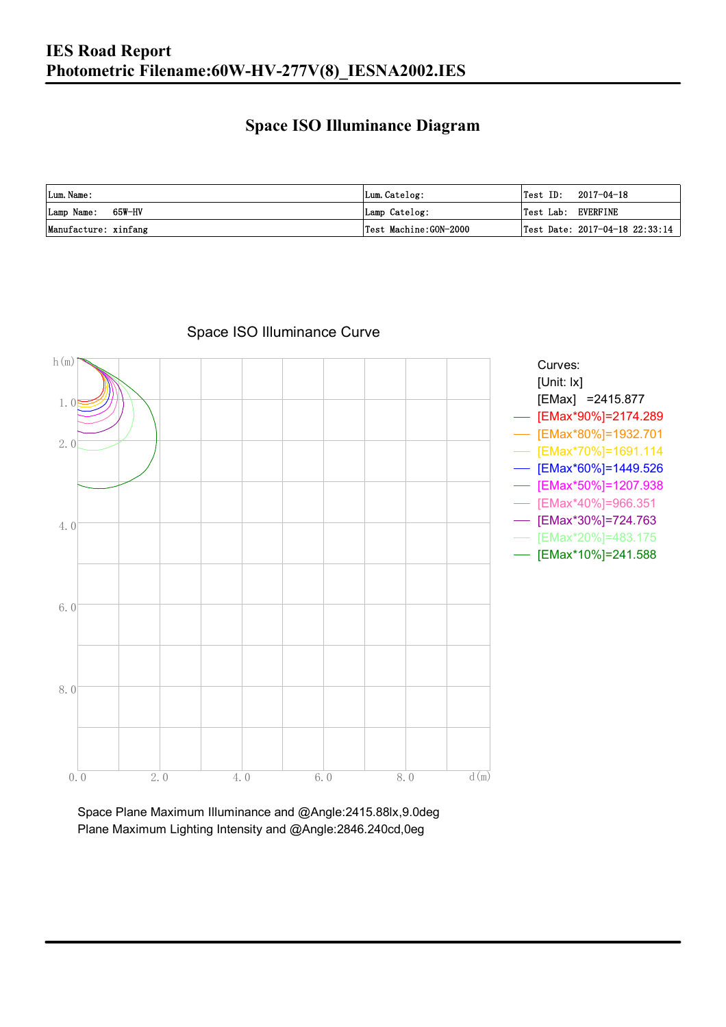### **Space ISO Illuminance Diagram**

| Lum. Name:           | Lum.Catelog:          | 'Test ID:          | 2017-04-18                         |
|----------------------|-----------------------|--------------------|------------------------------------|
| Lamp Name: 65W-HV    | Lamp Catelog:         | Test Lab: EVERFINE |                                    |
| Manufacture: xinfang | Test Machine:GON-2000 |                    | Test Date: $2017-04-18$ $22:33:14$ |



Space ISO Illuminance Curve

Space Plane Maximum Illuminance and @Angle:2415.88lx,9.0deg Plane Maximum Lighting Intensity and @Angle:2846.240cd,0eg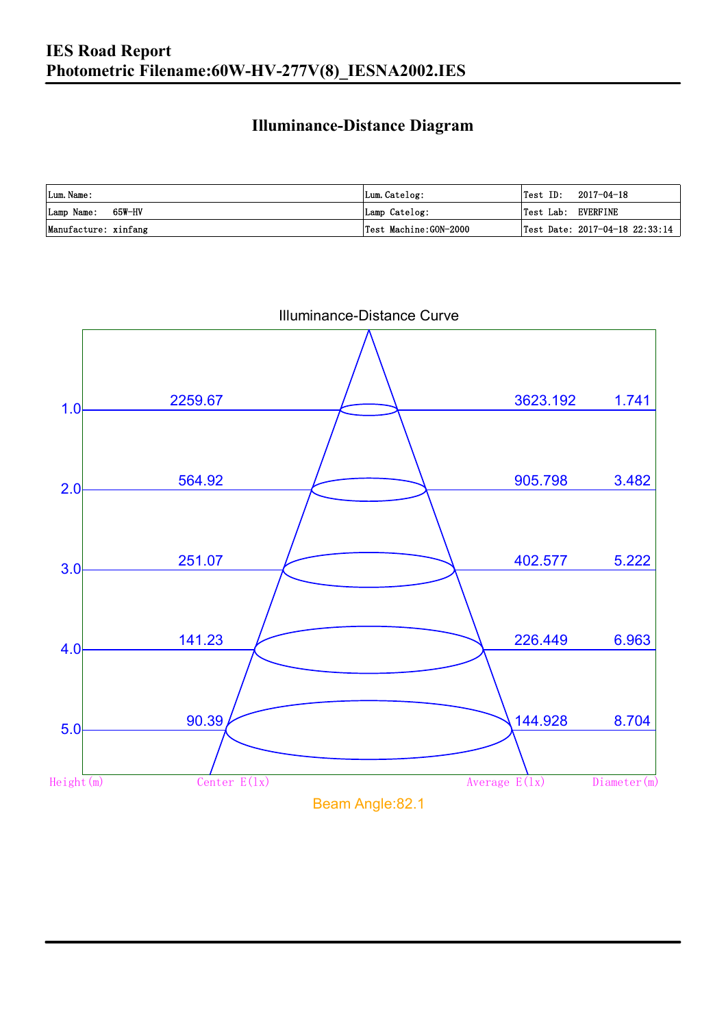### **Illuminance-Distance Diagram**

| Lum. Name:           | Lum.Catelog:          | Test ID:           | 2017-04-18                                            |
|----------------------|-----------------------|--------------------|-------------------------------------------------------|
| Lamp Name: 65W-HV    | Lamp Catelog:         | Test Lab: EVERFINE |                                                       |
| Manufacture: xinfang | Test Machine:GON-2000 |                    | $\textsf{Test Date: } 2017-04-18 \texttt{ } 22:33:14$ |

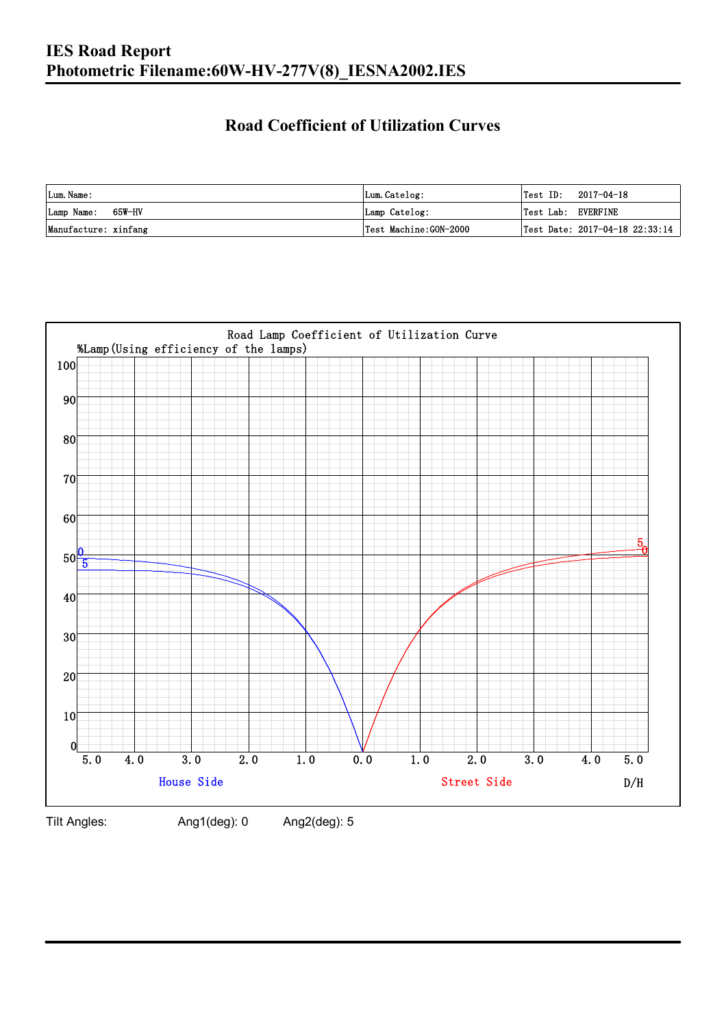### **Road Coefficient of Utilization Curves**

| Lum. Name:           | Lum.Catelog:          | Test ID:           | 2017-04-18                     |
|----------------------|-----------------------|--------------------|--------------------------------|
| Lamp Name: 65W-HV    | Lamp Catelog:         | Test Lab: EVERFINE |                                |
| Manufacture: xinfang | Test Machine:GON-2000 |                    | Test Date: 2017-04-18 22:33:14 |



Tilt Angles: Ang1(deg): 0 Ang2(deg): 5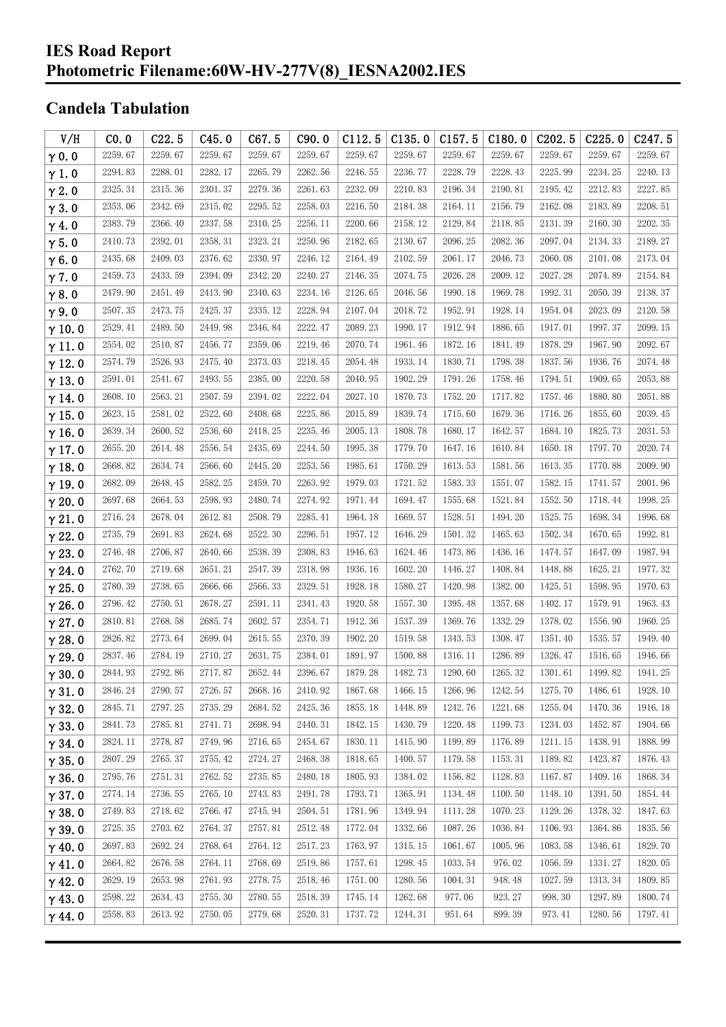#### **IES Road Report Photometric Filename:60W-HV-277V(8)\_IESNA2002.IES**

### **Candela Tabulation**

| V/H           | CO.0    | C22.5   | C45.0   | C67.5   | C90.0   | C112.5  | C135.0  | C157.5  | C180.0  | C202.5  | C225.0  | C <sub>247.5</sub> |
|---------------|---------|---------|---------|---------|---------|---------|---------|---------|---------|---------|---------|--------------------|
| $\gamma$ 0.0  | 2259.67 | 2259.67 | 2259.67 | 2259.67 | 2259.67 | 2259.67 | 2259.67 | 2259.67 | 2259.67 | 2259.67 | 2259.67 | 2259.67            |
| $\gamma$ 1.0  | 2294.83 | 2288.01 | 2282.17 | 2265.79 | 2262.56 | 2246.55 | 2236.77 | 2228.79 | 2228.43 | 2225.99 | 2234.25 | 2240.13            |
| $\gamma$ 2.0  | 2325.31 | 2315.36 | 2301.37 | 2279.36 | 2261.63 | 2232.09 | 2210.83 | 2196.34 | 2190.81 | 2195.42 | 2212.83 | 2227.85            |
| $\gamma$ 3.0  | 2353.06 | 2342.69 | 2315.02 | 2295.52 | 2258.03 | 2216.50 | 2184.38 | 2164.11 | 2156.79 | 2162.08 | 2183.89 | 2208.51            |
| $\gamma$ 4.0  | 2383.79 | 2366.40 | 2337.58 | 2310.25 | 2256.11 | 2200.66 | 2158.12 | 2129.84 | 2118.85 | 2131.39 | 2160.30 | 2202.35            |
| $\gamma$ 5.0  | 2410.73 | 2392.01 | 2358.31 | 2323.21 | 2250.96 | 2182.65 | 2130.67 | 2096.25 | 2082.36 | 2097.04 | 2134.33 | 2189.27            |
| $\gamma$ 6.0  | 2435.68 | 2409.03 | 2376.62 | 2330.97 | 2246.12 | 2164.49 | 2102.59 | 2061.17 | 2046.73 | 2060.08 | 2101.08 | 2173.04            |
| $\gamma$ 7.0  | 2459.73 | 2433.59 | 2394.09 | 2342.20 | 2240.27 | 2146.35 | 2074.75 | 2026.28 | 2009.12 | 2027.28 | 2074.89 | 2154.84            |
| $\gamma$ 8.0  | 2479.90 | 2451.49 | 2413.90 | 2340.63 | 2234.16 | 2126.65 | 2046.56 | 1990.18 | 1969.78 | 1992.31 | 2050.39 | 2138.37            |
| $\gamma$ 9.0  | 2507.35 | 2473.75 | 2425.37 | 2335.12 | 2228.94 | 2107.04 | 2018.72 | 1952.91 | 1928.14 | 1954.04 | 2023.09 | 2120.58            |
| $\gamma$ 10.0 | 2529.41 | 2489.50 | 2449.98 | 2346.84 | 2222.47 | 2089.23 | 1990.17 | 1912.94 | 1886.65 | 1917.01 | 1997.37 | 2099.15            |
| $\gamma$ 11.0 | 2554.02 | 2510.87 | 2456.77 | 2359.06 | 2219.46 | 2070.74 | 1961.46 | 1872.16 | 1841.49 | 1878.29 | 1967.90 | 2092.67            |
| $\gamma$ 12.0 | 2574.79 | 2526.93 | 2475.40 | 2373.03 | 2218.45 | 2054.48 | 1933.14 | 1830.71 | 1798.38 | 1837.56 | 1936.76 | 2074.48            |
| $\gamma$ 13.0 | 2591.01 | 2541.67 | 2493.55 | 2385.00 | 2220.58 | 2040.95 | 1902.29 | 1791.26 | 1758.46 | 1794.51 | 1909.65 | 2053.88            |
| $\gamma$ 14.0 | 2608.10 | 2563.21 | 2507.59 | 2394.02 | 2222.04 | 2027.10 | 1870.73 | 1752.20 | 1717.82 | 1757.46 | 1880.80 | 2051.88            |
| $\gamma$ 15.0 | 2623.15 | 2581.02 | 2522.60 | 2408.68 | 2225.86 | 2015.89 | 1839.74 | 1715.60 | 1679.36 | 1716.26 | 1855.60 | 2039.45            |
| $\gamma$ 16.0 | 2639.34 | 2600.52 | 2536.60 | 2418.25 | 2235.46 | 2005.13 | 1808.78 | 1680.17 | 1642.57 | 1684.10 | 1825.73 | 2031.53            |
| $\gamma$ 17.0 | 2655.20 | 2614.48 | 2556.54 | 2435.69 | 2244.50 | 1995.38 | 1779.70 | 1647.16 | 1610.84 | 1650.18 | 1797.70 | 2020.74            |
| $\gamma$ 18.0 | 2668.82 | 2634.74 | 2566.60 | 2445.20 | 2253.56 | 1985.61 | 1750.29 | 1613.53 | 1581.56 | 1613.35 | 1770.88 | 2009.90            |
| $\gamma$ 19.0 | 2682.09 | 2648.45 | 2582.25 | 2459.70 | 2263.92 | 1979.03 | 1721.52 | 1583.33 | 1551.07 | 1582.15 | 1741.57 | 2001.96            |
| $\gamma$ 20.0 | 2697.68 | 2664.53 | 2598.93 | 2480.74 | 2274.92 | 1971.44 | 1694.47 | 1555.68 | 1521.84 | 1552.50 | 1718.44 | 1998.25            |
| $\gamma$ 21.0 | 2716.24 | 2678.04 | 2612.81 | 2508.79 | 2285.41 | 1964.18 | 1669.57 | 1528.51 | 1494.20 | 1525.75 | 1698.34 | 1996.68            |
| $\gamma$ 22.0 | 2735.79 | 2691.83 | 2624.68 | 2522.30 | 2296.51 | 1957.12 | 1646.29 | 1501.32 | 1465.63 | 1502.34 | 1670.65 | 1992.81            |
| $\gamma$ 23.0 | 2746.48 | 2706.87 | 2640.66 | 2538.39 | 2308.83 | 1946.63 | 1624.46 | 1473.86 | 1436.16 | 1474.57 | 1647.09 | 1987.94            |
| $\gamma$ 24.0 | 2762.70 | 2719.68 | 2651.21 | 2547.39 | 2318.98 | 1936.16 | 1602.20 | 1446.27 | 1408.84 | 1448.88 | 1625.21 | 1977.32            |
| $\gamma$ 25.0 | 2780.39 | 2738.65 | 2666.66 | 2566.33 | 2329.51 | 1928.18 | 1580.27 | 1420.98 | 1382.00 | 1425.51 | 1598.95 | 1970.63            |
| $\gamma$ 26.0 | 2796.42 | 2750.51 | 2678.27 | 2591.11 | 2341.43 | 1920.58 | 1557.30 | 1395.48 | 1357.68 | 1402.17 | 1579.91 | 1963.43            |
| $\gamma$ 27.0 | 2810.81 | 2768.58 | 2685.74 | 2602.57 | 2354.71 | 1912.36 | 1537.39 | 1369.76 | 1332.29 | 1378.02 | 1556.90 | 1960.25            |
| $\gamma$ 28.0 | 2826.82 | 2773.64 | 2699.04 | 2615.55 | 2370.39 | 1902.20 | 1519.58 | 1343.53 | 1308.47 | 1351.40 | 1535.57 | 1949.40            |
| $\gamma$ 29.0 | 2837.46 | 2784.19 | 2710.27 | 2631.75 | 2384.01 | 1891.97 | 1500.88 | 1316.11 | 1286.89 | 1326.47 | 1516.65 | 1946.66            |
| $\gamma$ 30.0 | 2844.93 | 2792.86 | 2717.87 | 2652.44 | 2396.67 | 1879.28 | 1482.73 | 1290.60 | 1265.32 | 1301.61 | 1499.82 | 1941.25            |
| $\gamma$ 31.0 | 2846.24 | 2790.57 | 2726.57 | 2668.16 | 2410.92 | 1867.68 | 1466.15 | 1266.96 | 1242.54 | 1275.70 | 1486.61 | 1928.10            |
| $\gamma$ 32.0 | 2845.71 | 2797.25 | 2735.29 | 2684.52 | 2425.36 | 1855.18 | 1448.89 | 1242.76 | 1221.68 | 1255.04 | 1470.36 | 1916.18            |
| $\gamma$ 33.0 | 2841.73 | 2785.81 | 2741.71 | 2698.94 | 2440.31 | 1842.15 | 1430.79 | 1220.48 | 1199.73 | 1234.03 | 1452.87 | 1904.66            |
| $\gamma$ 34.0 | 2824.11 | 2778.87 | 2749.96 | 2716.65 | 2454.67 | 1830.11 | 1415.90 | 1199.89 | 1176.89 | 1211.15 | 1438.91 | 1888.99            |
| $\gamma$ 35.0 | 2807.29 | 2765.37 | 2755.42 | 2724.27 | 2468.38 | 1818.65 | 1400.57 | 1179.58 | 1153.31 | 1189.82 | 1423.87 | 1876.43            |
| $\gamma$ 36.0 | 2795.76 | 2751.31 | 2762.52 | 2735.85 | 2480.18 | 1805.93 | 1384.02 | 1156.82 | 1128.83 | 1167.87 | 1409.16 | 1868.34            |
| $\gamma$ 37.0 | 2774.14 | 2736.55 | 2765.10 | 2743.83 | 2491.78 | 1793.71 | 1365.91 | 1134.48 | 1100.50 | 1148.10 | 1391.50 | 1854.44            |
| $\gamma$ 38.0 | 2749.83 | 2718.62 | 2766.47 | 2745.94 | 2504.51 | 1781.96 | 1349.94 | 1111.28 | 1070.23 | 1129.26 | 1378.32 | 1847.63            |
| $\gamma$ 39.0 | 2725.35 | 2703.62 | 2764.37 | 2757.81 | 2512.48 | 1772.04 | 1332.66 | 1087.26 | 1036.84 | 1106.93 | 1364.86 | 1835.56            |
| $\gamma$ 40.0 | 2697.83 | 2692.24 | 2768.64 | 2764.12 | 2517.23 | 1763.97 | 1315.15 | 1061.67 | 1005.96 | 1083.58 | 1346.61 | 1829.70            |
| $\gamma$ 41.0 | 2664.82 | 2676.58 | 2764.11 | 2768.69 | 2519.86 | 1757.61 | 1298.45 | 1033.54 | 976.02  | 1056.59 | 1331.27 | 1820.05            |
| $\gamma$ 42.0 | 2629.19 | 2653.98 | 2761.93 | 2778.75 | 2518.46 | 1751.00 | 1280.56 | 1004.31 | 948.48  | 1027.59 | 1313.34 | 1809.85            |
| $\gamma$ 43.0 | 2598.22 | 2634.43 | 2755.30 | 2780.55 | 2518.39 | 1745.14 | 1262.68 | 977.06  | 923.27  | 998.30  | 1297.89 | 1800.74            |
| $\gamma$ 44.0 | 2558.83 | 2613.92 | 2750.05 | 2779.68 | 2520.31 | 1737.72 | 1244.31 | 951.64  | 899.39  | 973.41  | 1280.56 | 1797.41            |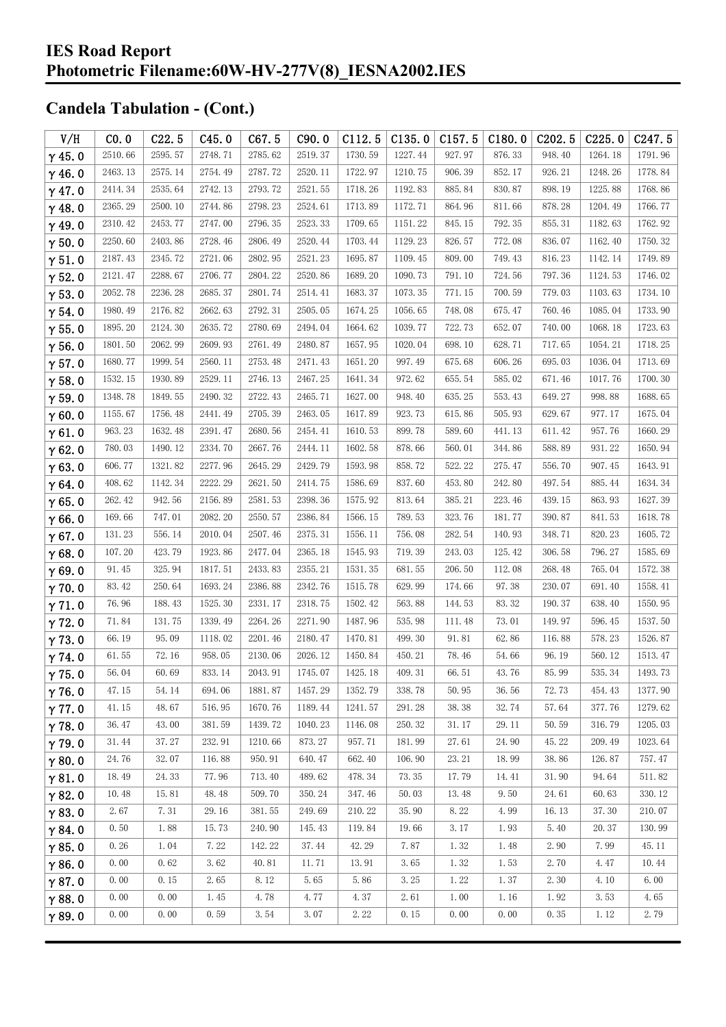| V/H           | CO.0    | C22.5   | C45.0   | C67.5   | C90.0   | C112.5  | C135.0  | C157.5 | C180.0 | C <sub>202.5</sub> | C225.0  | C247.5  |
|---------------|---------|---------|---------|---------|---------|---------|---------|--------|--------|--------------------|---------|---------|
| $\gamma$ 45.0 | 2510.66 | 2595.57 | 2748.71 | 2785.62 | 2519.37 | 1730.59 | 1227.44 | 927.97 | 876.33 | 948.40             | 1264.18 | 1791.96 |
| $\gamma$ 46.0 | 2463.13 | 2575.14 | 2754.49 | 2787.72 | 2520.11 | 1722.97 | 1210.75 | 906.39 | 852.17 | 926.21             | 1248.26 | 1778.84 |
| $\gamma$ 47.0 | 2414.34 | 2535.64 | 2742.13 | 2793.72 | 2521.55 | 1718.26 | 1192.83 | 885.84 | 830.87 | 898.19             | 1225.88 | 1768.86 |
| $\gamma$ 48.0 | 2365.29 | 2500.10 | 2744.86 | 2798.23 | 2524.61 | 1713.89 | 1172.71 | 864.96 | 811.66 | 878.28             | 1204.49 | 1766.77 |
| $\gamma$ 49.0 | 2310.42 | 2453.77 | 2747.00 | 2796.35 | 2523.33 | 1709.65 | 1151.22 | 845.15 | 792.35 | 855.31             | 1182.63 | 1762.92 |
| $\gamma$ 50.0 | 2250.60 | 2403.86 | 2728.46 | 2806.49 | 2520.44 | 1703.44 | 1129.23 | 826.57 | 772.08 | 836.07             | 1162.40 | 1750.32 |
| $\gamma$ 51.0 | 2187.43 | 2345.72 | 2721.06 | 2802.95 | 2521.23 | 1695.87 | 1109.45 | 809.00 | 749.43 | 816.23             | 1142.14 | 1749.89 |
| $\gamma$ 52.0 | 2121.47 | 2288.67 | 2706.77 | 2804.22 | 2520.86 | 1689.20 | 1090.73 | 791.10 | 724.56 | 797.36             | 1124.53 | 1746.02 |
| $\gamma$ 53.0 | 2052.78 | 2236.28 | 2685.37 | 2801.74 | 2514.41 | 1683.37 | 1073.35 | 771.15 | 700.59 | 779.03             | 1103.63 | 1734.10 |
| $\gamma$ 54.0 | 1980.49 | 2176.82 | 2662.63 | 2792.31 | 2505.05 | 1674.25 | 1056.65 | 748.08 | 675.47 | 760.46             | 1085.04 | 1733.90 |
| $\gamma$ 55.0 | 1895.20 | 2124.30 | 2635.72 | 2780.69 | 2494.04 | 1664.62 | 1039.77 | 722.73 | 652.07 | 740.00             | 1068.18 | 1723.63 |
| $\gamma$ 56.0 | 1801.50 | 2062.99 | 2609.93 | 2761.49 | 2480.87 | 1657.95 | 1020.04 | 698.10 | 628.71 | 717.65             | 1054.21 | 1718.25 |
| $\gamma$ 57.0 | 1680.77 | 1999.54 | 2560.11 | 2753.48 | 2471.43 | 1651.20 | 997.49  | 675.68 | 606.26 | 695.03             | 1036.04 | 1713.69 |
| $\gamma$ 58.0 | 1532.15 | 1930.89 | 2529.11 | 2746.13 | 2467.25 | 1641.34 | 972.62  | 655.54 | 585.02 | 671.46             | 1017.76 | 1700.30 |
| $\gamma$ 59.0 | 1348.78 | 1849.55 | 2490.32 | 2722.43 | 2465.71 | 1627.00 | 948.40  | 635.25 | 553.43 | 649.27             | 998.88  | 1688.65 |
| $\gamma$ 60.0 | 1155.67 | 1756.48 | 2441.49 | 2705.39 | 2463.05 | 1617.89 | 923.73  | 615.86 | 505.93 | 629.67             | 977.17  | 1675.04 |
| $\gamma$ 61.0 | 963.23  | 1632.48 | 2391.47 | 2680.56 | 2454.41 | 1610.53 | 899.78  | 589.60 | 441.13 | 611.42             | 957.76  | 1660.29 |
| $\gamma$ 62.0 | 780.03  | 1490.12 | 2334.70 | 2667.76 | 2444.11 | 1602.58 | 878.66  | 560.01 | 344.86 | 588.89             | 931.22  | 1650.94 |
| $\gamma$ 63.0 | 606.77  | 1321.82 | 2277.96 | 2645.29 | 2429.79 | 1593.98 | 858.72  | 522.22 | 275.47 | 556.70             | 907.45  | 1643.91 |
| $\gamma$ 64.0 | 408.62  | 1142.34 | 2222.29 | 2621.50 | 2414.75 | 1586.69 | 837.60  | 453.80 | 242.80 | 497.54             | 885.44  | 1634.34 |
| $\gamma$ 65.0 | 262.42  | 942.56  | 2156.89 | 2581.53 | 2398.36 | 1575.92 | 813.64  | 385.21 | 223.46 | 439.15             | 863.93  | 1627.39 |
| $\gamma$ 66.0 | 169.66  | 747.01  | 2082.20 | 2550.57 | 2386.84 | 1566.15 | 789.53  | 323.76 | 181.77 | 390.87             | 841.53  | 1618.78 |
| $\gamma$ 67.0 | 131.23  | 556.14  | 2010.04 | 2507.46 | 2375.31 | 1556.11 | 756.08  | 282.54 | 140.93 | 348.71             | 820.23  | 1605.72 |
| $\gamma$ 68.0 | 107.20  | 423.79  | 1923.86 | 2477.04 | 2365.18 | 1545.93 | 719.39  | 243.03 | 125.42 | 306.58             | 796.27  | 1585.69 |
| $\gamma$ 69.0 | 91.45   | 325.94  | 1817.51 | 2433.83 | 2355.21 | 1531.35 | 681.55  | 206.50 | 112.08 | 268.48             | 765.04  | 1572.38 |
| $\gamma$ 70.0 | 83.42   | 250.64  | 1693.24 | 2386.88 | 2342.76 | 1515.78 | 629.99  | 174.66 | 97.38  | 230.07             | 691.40  | 1558.41 |
| $\gamma$ 71.0 | 76.96   | 188.43  | 1525.30 | 2331.17 | 2318.75 | 1502.42 | 563.88  | 144.53 | 83.32  | 190.37             | 638.40  | 1550.95 |
| $\gamma$ 72.0 | 71.84   | 131.75  | 1339.49 | 2264.26 | 2271.90 | 1487.96 | 535.98  | 111.48 | 73.01  | 149.97             | 596.45  | 1537.50 |
| $\gamma$ 73.0 | 66.19   | 95.09   | 1118.02 | 2201.46 | 2180.47 | 1470.81 | 499.30  | 91.81  | 62.86  | 116.88             | 578.23  | 1526.87 |
| $\gamma$ 74.0 | 61.55   | 72.16   | 958.05  | 2130.06 | 2026.12 | 1450.84 | 450.21  | 78.46  | 54.66  | 96.19              | 560.12  | 1513.47 |
| $\gamma$ 75.0 | 56.04   | 60.69   | 833.14  | 2043.91 | 1745.07 | 1425.18 | 409.31  | 66.51  | 43.76  | 85.99              | 535.34  | 1493.73 |
| $\gamma$ 76.0 | 47.15   | 54.14   | 694.06  | 1881.87 | 1457.29 | 1352.79 | 338.78  | 50.95  | 36.56  | 72.73              | 454.43  | 1377.90 |
| $\gamma$ 77.0 | 41.15   | 48.67   | 516.95  | 1670.76 | 1189.44 | 1241.57 | 291.28  | 38.38  | 32.74  | 57.64              | 377.76  | 1279.62 |
| $\gamma$ 78.0 | 36.47   | 43.00   | 381.59  | 1439.72 | 1040.23 | 1146.08 | 250.32  | 31.17  | 29.11  | 50.59              | 316.79  | 1205.03 |
| $\gamma$ 79.0 | 31.44   | 37.27   | 232.91  | 1210.66 | 873.27  | 957.71  | 181.99  | 27.61  | 24.90  | 45.22              | 209.49  | 1023.64 |
| $\gamma$ 80.0 | 24.76   | 32.07   | 116.88  | 950.91  | 640.47  | 662.40  | 106.90  | 23.21  | 18.99  | 38.86              | 126.87  | 757.47  |
| $\gamma$ 81.0 | 18.49   | 24.33   | 77.96   | 713.40  | 489.62  | 478.34  | 73.35   | 17.79  | 14.41  | 31.90              | 94.64   | 511.82  |
| $\gamma$ 82.0 | 10.48   | 15.81   | 48.48   | 509.70  | 350.24  | 347.46  | 50.03   | 13.48  | 9.50   | 24.61              | 60.63   | 330.12  |
| $\gamma$ 83.0 | 2.67    | 7.31    | 29.16   | 381.55  | 249.69  | 210.22  | 35.90   | 8.22   | 4.99   | 16.13              | 37.30   | 210.07  |
| $\gamma$ 84.0 | 0.50    | 1.88    | 15.73   | 240.90  | 145.43  | 119.84  | 19.66   | 3.17   | 1.93   | 5.40               | 20.37   | 130.99  |
| $\gamma$ 85.0 | 0.26    | 1.04    | 7.22    | 142.22  | 37.44   | 42.29   | 7.87    | 1.32   | 1.48   | 2.90               | 7.99    | 45.11   |
| $\gamma$ 86.0 | 0.00    | 0.62    | 3.62    | 40.81   | 11.71   | 13.91   | 3.65    | 1.32   | 1.53   | 2.70               | 4.47    | 10.44   |
| $\gamma$ 87.0 | 0.00    | 0.15    | 2.65    | 8.12    | 5.65    | 5.86    | 3.25    | 1.22   | 1.37   | 2.30               | 4.10    | 6.00    |
| $\gamma$ 88.0 | 0.00    | 0.00    | 1.45    | 4.78    | 4.77    | 4.37    | 2.61    | 1.00   | 1.16   | 1.92               | 3.53    | 4.65    |
| $\gamma$ 89.0 | 0.00    | 0.00    | 0.59    | 3.54    | 3.07    | 2.22    | 0.15    | 0.00   | 0.00   | 0.35               | 1.12    | 2.79    |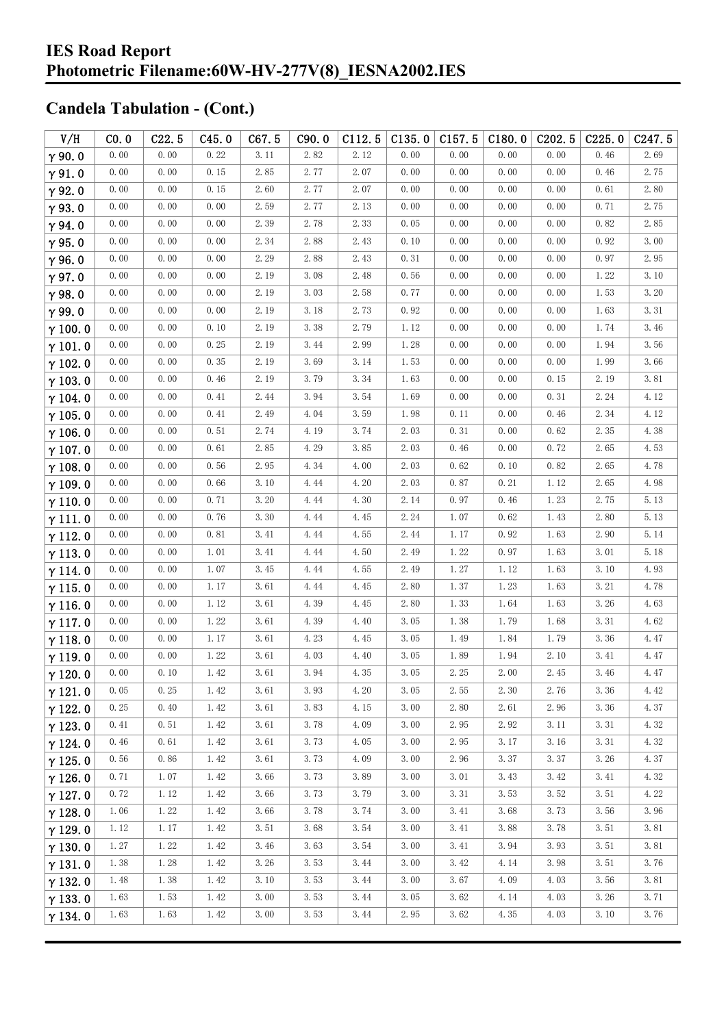| V/H            | CO.0 | C22.5 | C45.0 | C67.5                | C90.0 | C112.5 | C135.0 | C157.5 | C180.0 | C <sub>202.5</sub> | C225.0   | C <sub>247.5</sub> |
|----------------|------|-------|-------|----------------------|-------|--------|--------|--------|--------|--------------------|----------|--------------------|
| $\gamma$ 90.0  | 0.00 | 0.00  | 0.22  | 3.11                 | 2.82  | 2.12   | 0.00   | 0.00   | 0.00   | 0.00               | 0.46     | 2.69               |
| $\gamma$ 91.0  | 0.00 | 0.00  | 0.15  | 2.85                 | 2.77  | 2.07   | 0.00   | 0.00   | 0.00   | 0.00               | 0.46     | 2.75               |
| $\gamma$ 92.0  | 0.00 | 0.00  | 0.15  | 2.60                 | 2.77  | 2.07   | 0.00   | 0.00   | 0.00   | 0.00               | 0.61     | 2.80               |
| $\gamma$ 93.0  | 0.00 | 0.00  | 0.00  | 2.59                 | 2.77  | 2.13   | 0.00   | 0.00   | 0.00   | 0.00               | 0.71     | 2.75               |
| $\gamma$ 94.0  | 0.00 | 0.00  | 0.00  | 2.39                 | 2.78  | 2.33   | 0.05   | 0.00   | 0.00   | 0.00               | 0.82     | 2.85               |
| $\gamma$ 95.0  | 0.00 | 0.00  | 0.00  | 2.34                 | 2.88  | 2.43   | 0.10   | 0.00   | 0.00   | 0.00               | 0.92     | 3.00               |
| $\gamma$ 96.0  | 0.00 | 0.00  | 0.00  | 2.29                 | 2.88  | 2.43   | 0.31   | 0.00   | 0.00   | 0.00               | 0.97     | 2.95               |
| $\gamma$ 97.0  | 0.00 | 0.00  | 0.00  | 2.19                 | 3.08  | 2.48   | 0.56   | 0.00   | 0.00   | 0.00               | 1.22     | 3.10               |
| $\gamma$ 98.0  | 0.00 | 0.00  | 0.00  | 2.19                 | 3.03  | 2.58   | 0.77   | 0.00   | 0.00   | 0.00               | 1.53     | 3.20               |
| $\gamma$ 99.0  | 0.00 | 0.00  | 0.00  | 2.19                 | 3.18  | 2.73   | 0.92   | 0.00   | 0.00   | 0.00               | 1.63     | 3.31               |
| $\gamma$ 100.0 | 0.00 | 0.00  | 0.10  | 2.19                 | 3.38  | 2.79   | 1.12   | 0.00   | 0.00   | 0.00               | 1.74     | 3.46               |
| $\gamma$ 101.0 | 0.00 | 0.00  | 0.25  | 2.19                 | 3.44  | 2.99   | 1.28   | 0.00   | 0.00   | 0.00               | 1.94     | 3.56               |
| $\gamma$ 102.0 | 0.00 | 0.00  | 0.35  | 2.19                 | 3.69  | 3.14   | 1.53   | 0.00   | 0.00   | 0.00               | 1.99     | 3.66               |
| $\gamma$ 103.0 | 0.00 | 0.00  | 0.46  | 2.19                 | 3.79  | 3.34   | 1.63   | 0.00   | 0.00   | 0.15               | 2.19     | 3.81               |
| $\gamma$ 104.0 | 0.00 | 0.00  | 0.41  | 2.44                 | 3.94  | 3.54   | 1.69   | $0.00$ | 0.00   | 0.31               | 2.24     | 4.12               |
| $\gamma$ 105.0 | 0.00 | 0.00  | 0.41  | 2.49                 | 4.04  | 3.59   | 1.98   | 0.11   | 0.00   | 0.46               | 2.34     | 4.12               |
| $\gamma$ 106.0 | 0.00 | 0.00  | 0.51  | 2.74                 | 4.19  | 3.74   | 2.03   | 0.31   | 0.00   | 0.62               | 2.35     | 4.38               |
| $\gamma$ 107.0 | 0.00 | 0.00  | 0.61  | 2.85                 | 4.29  | 3.85   | 2.03   | 0.46   | 0.00   | 0.72               | 2.65     | 4.53               |
| $\gamma$ 108.0 | 0.00 | 0.00  | 0.56  | 2.95                 | 4.34  | 4.00   | 2.03   | 0.62   | 0.10   | 0.82               | 2.65     | 4.78               |
| $\gamma$ 109.0 | 0.00 | 0.00  | 0.66  | 3.10                 | 4.44  | 4.20   | 2.03   | 0.87   | 0.21   | 1.12               | 2.65     | 4.98               |
| $\gamma$ 110.0 | 0.00 | 0.00  | 0.71  | 3.20                 | 4.44  | 4.30   | 2.14   | 0.97   | 0.46   | 1.23               | 2.75     | 5.13               |
| $\gamma$ 111.0 | 0.00 | 0.00  | 0.76  | 3.30                 | 4.44  | 4.45   | 2.24   | 1.07   | 0.62   | 1.43               | 2.80     | 5.13               |
| $\gamma$ 112.0 | 0.00 | 0.00  | 0.81  | 3.41                 | 4.44  | 4.55   | 2.44   | 1.17   | 0.92   | 1.63               | 2.90     | 5.14               |
| $\gamma$ 113.0 | 0.00 | 0.00  | 1.01  | 3.41                 | 4.44  | 4.50   | 2.49   | 1.22   | 0.97   | 1.63               | 3.01     | 5.18               |
| $\gamma$ 114.0 | 0.00 | 0.00  | 1.07  | 3.45                 | 4.44  | 4.55   | 2.49   | 1.27   | 1.12   | 1.63               | 3.10     | 4.93               |
| $\gamma$ 115.0 | 0.00 | 0.00  | 1.17  | 3.61                 | 4.44  | 4.45   | 2.80   | 1.37   | 1.23   | 1.63               | 3.21     | 4.78               |
| $\gamma$ 116.0 | 0.00 | 0.00  | 1.12  | 3.61                 | 4.39  | 4.45   | 2.80   | 1.33   | 1.64   | 1.63               | 3.26     | 4.63               |
| $\gamma$ 117.0 | 0.00 | 0.00  | 1.22  | 3.61                 | 4.39  | 4.40   | 3.05   | 1.38   | 1.79   | 1.68               | 3.31     | 4.62               |
| $\gamma$ 118.0 | 0.00 | 0.00  | 1.17  | 3.61                 | 4.23  | 4.45   | 3.05   | 1.49   | 1.84   | 1.79               | 3.36     | 4.47               |
| $\gamma$ 119.0 | 0.00 | 0.00  | 1.22  | 3.61                 | 4.03  | 4.40   | 3.05   | 1.89   | 1.94   | 2.10               | 3.41     | 4.47               |
| $\gamma$ 120.0 | 0.00 | 0.10  | 1.42  | $3.\,\allowbreak 61$ | 3.94  | 4.35   | 3.05   | 2.25   | 2.00   | 2.45               | $3.\,46$ | 4.47               |
| $\gamma$ 121.0 | 0.05 | 0.25  | 1.42  | 3.61                 | 3.93  | 4.20   | 3.05   | 2.55   | 2.30   | 2.76               | 3.36     | 4.42               |
| $\gamma$ 122.0 | 0.25 | 0.40  | 1.42  | 3.61                 | 3.83  | 4.15   | 3.00   | 2.80   | 2.61   | 2.96               | 3.36     | 4.37               |
| $\gamma$ 123.0 | 0.41 | 0.51  | 1.42  | 3.61                 | 3.78  | 4.09   | 3.00   | 2.95   | 2.92   | 3.11               | 3.31     | 4.32               |
| $\gamma$ 124.0 | 0.46 | 0.61  | 1.42  | 3.61                 | 3.73  | 4.05   | 3.00   | 2.95   | 3.17   | 3.16               | 3.31     | 4.32               |
| $\gamma$ 125.0 | 0.56 | 0.86  | 1.42  | 3.61                 | 3.73  | 4.09   | 3.00   | 2.96   | 3.37   | 3.37               | 3.26     | 4.37               |
| $\gamma$ 126.0 | 0.71 | 1.07  | 1.42  | 3.66                 | 3.73  | 3.89   | 3.00   | 3.01   | 3.43   | 3.42               | 3.41     | 4.32               |
| $\gamma$ 127.0 | 0.72 | 1.12  | 1.42  | 3.66                 | 3.73  | 3.79   | 3.00   | 3.31   | 3.53   | 3.52               | 3.51     | 4.22               |
| $\gamma$ 128.0 | 1.06 | 1.22  | 1.42  | 3.66                 | 3.78  | 3.74   | 3.00   | 3.41   | 3.68   | 3.73               | 3.56     | 3.96               |
| $\gamma$ 129.0 | 1.12 | 1.17  | 1.42  | 3.51                 | 3.68  | 3.54   | 3.00   | 3.41   | 3.88   | 3.78               | 3.51     | 3.81               |
| $\gamma$ 130.0 | 1.27 | 1.22  | 1.42  | 3.46                 | 3.63  | 3.54   | 3.00   | 3.41   | 3.94   | 3.93               | 3.51     | 3.81               |
| $\gamma$ 131.0 | 1.38 | 1.28  | 1.42  | 3.26                 | 3.53  | 3.44   | 3.00   | 3.42   | 4.14   | 3.98               | 3.51     | 3.76               |
| $\gamma$ 132.0 | 1.48 | 1.38  | 1.42  | 3.10                 | 3.53  | 3.44   | 3.00   | 3.67   | 4.09   | 4.03               | 3.56     | 3.81               |
| $\gamma$ 133.0 | 1.63 | 1.53  | 1.42  | 3.00                 | 3.53  | 3.44   | 3.05   | 3.62   | 4.14   | 4.03               | 3.26     | 3.71               |
| $\gamma$ 134.0 | 1.63 | 1.63  | 1.42  | 3.00                 | 3.53  | 3.44   | 2.95   | 3.62   | 4.35   | 4.03               | 3.10     | 3.76               |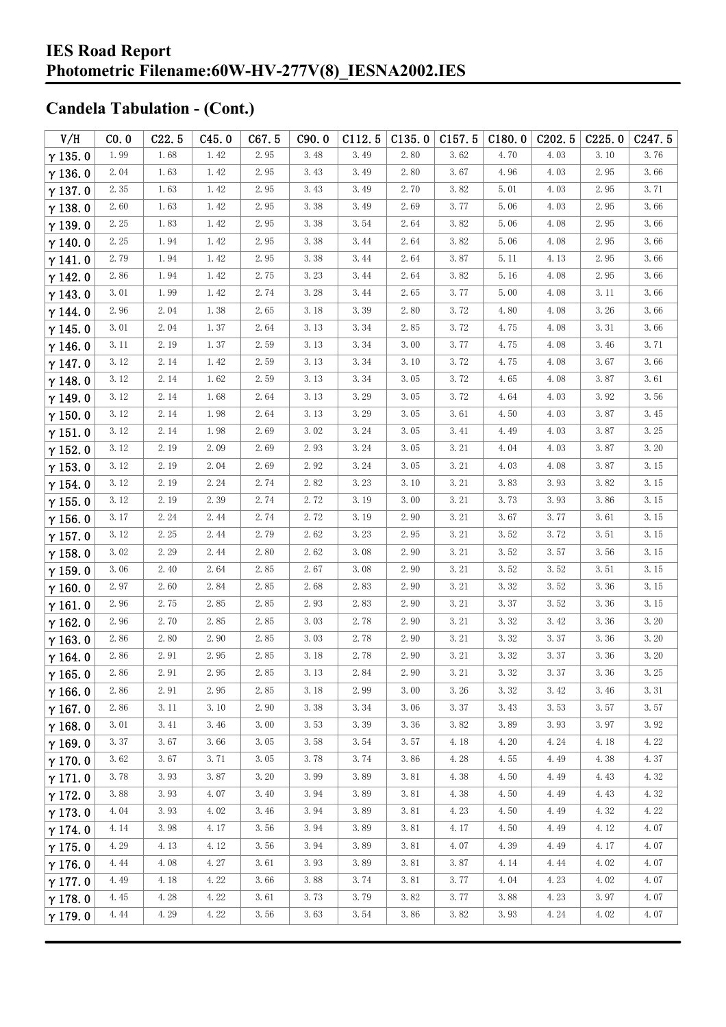| V/H            | CO.0                 | C22.5 | C45.0 | C67.5                | C90.0 | C112.5 | C135.0 | $C157.5$ $C180.0$ |      | C <sub>2</sub> 02.5 | C225.0 | C247.5 |
|----------------|----------------------|-------|-------|----------------------|-------|--------|--------|-------------------|------|---------------------|--------|--------|
| $\gamma$ 135.0 | 1.99                 | 1.68  | 1.42  | 2.95                 | 3.48  | 3.49   | 2.80   | 3.62              | 4.70 | 4.03                | 3.10   | 3.76   |
| $\gamma$ 136.0 | 2.04                 | 1.63  | 1.42  | 2.95                 | 3.43  | 3.49   | 2.80   | 3.67              | 4.96 | 4.03                | 2.95   | 3.66   |
| $\gamma$ 137.0 | 2.35                 | 1.63  | 1.42  | 2.95                 | 3.43  | 3.49   | 2.70   | 3.82              | 5.01 | 4.03                | 2.95   | 3.71   |
| $\gamma$ 138.0 | 2.60                 | 1.63  | 1.42  | 2.95                 | 3.38  | 3.49   | 2.69   | 3.77              | 5.06 | 4.03                | 2.95   | 3.66   |
| $\gamma$ 139.0 | 2.25                 | 1.83  | 1.42  | 2.95                 | 3.38  | 3.54   | 2.64   | 3.82              | 5.06 | 4.08                | 2.95   | 3.66   |
| $\gamma$ 140.0 | 2.25                 | 1.94  | 1.42  | 2.95                 | 3.38  | 3.44   | 2.64   | 3.82              | 5.06 | 4.08                | 2.95   | 3.66   |
| $\gamma$ 141.0 | 2.79                 | 1.94  | 1.42  | 2.95                 | 3.38  | 3.44   | 2.64   | 3.87              | 5.11 | 4.13                | 2.95   | 3.66   |
| $\gamma$ 142.0 | 2.86                 | 1.94  | 1.42  | 2.75                 | 3.23  | 3.44   | 2.64   | 3.82              | 5.16 | 4.08                | 2.95   | 3.66   |
| $\gamma$ 143.0 | 3.01                 | 1.99  | 1.42  | 2.74                 | 3.28  | 3.44   | 2.65   | 3.77              | 5.00 | 4.08                | 3.11   | 3.66   |
| $\gamma$ 144.0 | 2.96                 | 2.04  | 1.38  | 2.65                 | 3.18  | 3.39   | 2.80   | 3.72              | 4.80 | 4.08                | 3.26   | 3.66   |
| $\gamma$ 145.0 | 3.01                 | 2.04  | 1.37  | 2.64                 | 3.13  | 3.34   | 2.85   | 3.72              | 4.75 | 4.08                | 3.31   | 3.66   |
| $\gamma$ 146.0 | 3.11                 | 2.19  | 1.37  | 2.59                 | 3.13  | 3.34   | 3.00   | 3.77              | 4.75 | 4.08                | 3.46   | 3.71   |
| $\gamma$ 147.0 | 3.12                 | 2.14  | 1.42  | 2.59                 | 3.13  | 3.34   | 3.10   | 3.72              | 4.75 | 4.08                | 3.67   | 3.66   |
| $\gamma$ 148.0 | 3.12                 | 2.14  | 1.62  | 2.59                 | 3.13  | 3.34   | 3.05   | 3.72              | 4.65 | 4.08                | 3.87   | 3.61   |
| $\gamma$ 149.0 | 3.12                 | 2.14  | 1.68  | 2.64                 | 3.13  | 3.29   | 3.05   | 3.72              | 4.64 | 4.03                | 3.92   | 3.56   |
| $\gamma$ 150.0 | 3.12                 | 2.14  | 1.98  | 2.64                 | 3.13  | 3.29   | 3.05   | 3.61              | 4.50 | 4.03                | 3.87   | 3.45   |
| $\gamma$ 151.0 | 3.12                 | 2.14  | 1.98  | 2.69                 | 3.02  | 3.24   | 3.05   | 3.41              | 4.49 | 4.03                | 3.87   | 3.25   |
| $\gamma$ 152.0 | 3.12                 | 2.19  | 2.09  | 2.69                 | 2.93  | 3.24   | 3.05   | 3.21              | 4.04 | 4.03                | 3.87   | 3.20   |
| $\gamma$ 153.0 | 3.12                 | 2.19  | 2.04  | 2.69                 | 2.92  | 3.24   | 3.05   | 3.21              | 4.03 | 4.08                | 3.87   | 3.15   |
| $\gamma$ 154.0 | 3.12                 | 2.19  | 2.24  | 2.74                 | 2.82  | 3.23   | 3.10   | $3.\,21$          | 3.83 | 3.93                | 3.82   | 3.15   |
| $\gamma$ 155.0 | 3.12                 | 2.19  | 2.39  | 2.74                 | 2.72  | 3.19   | 3.00   | 3.21              | 3.73 | 3.93                | 3.86   | 3.15   |
| $\gamma$ 156.0 | 3.17                 | 2.24  | 2.44  | 2.74                 | 2.72  | 3.19   | 2.90   | 3.21              | 3.67 | 3.77                | 3.61   | 3.15   |
| $\gamma$ 157.0 | 3.12                 | 2.25  | 2.44  | 2.79                 | 2.62  | 3.23   | 2.95   | 3.21              | 3.52 | 3.72                | 3.51   | 3.15   |
| $\gamma$ 158.0 | 3.02                 | 2.29  | 2.44  | 2.80                 | 2.62  | 3.08   | 2.90   | 3.21              | 3.52 | 3.57                | 3.56   | 3.15   |
| $\gamma$ 159.0 | 3.06                 | 2.40  | 2.64  | 2.85                 | 2.67  | 3.08   | 2.90   | 3.21              | 3.52 | 3.52                | 3.51   | 3.15   |
| $\gamma$ 160.0 | 2.97                 | 2.60  | 2.84  | 2.85                 | 2.68  | 2.83   | 2.90   | 3.21              | 3.32 | 3.52                | 3.36   | 3.15   |
| $\gamma$ 161.0 | 2.96                 | 2.75  | 2.85  | 2.85                 | 2.93  | 2.83   | 2.90   | 3.21              | 3.37 | 3.52                | 3.36   | 3.15   |
| $\gamma$ 162.0 | 2.96                 | 2.70  | 2.85  | 2.85                 | 3.03  | 2.78   | 2.90   | 3.21              | 3.32 | 3.42                | 3.36   | 3.20   |
| $\gamma$ 163.0 | 2.86                 | 2.80  | 2.90  | 2.85                 | 3.03  | 2.78   | 2.90   | 3.21              | 3.32 | 3.37                | 3.36   | 3.20   |
| $\gamma$ 164.0 | 2.86                 | 2.91  | 2.95  | 2.85                 | 3.18  | 2.78   | 2.90   | 3.21              | 3.32 | 3.37                | 3.36   | 3.20   |
| $\gamma$ 165.0 | $2.\,\allowbreak 86$ | 2.91  | 2.95  | $2.\,\allowbreak 85$ | 3.13  | 2.84   | 2.90   | 3.21              | 3.32 | 3.37                | 3.36   | 3.25   |
| $\gamma$ 166.0 | 2.86                 | 2.91  | 2.95  | 2.85                 | 3.18  | 2.99   | 3.00   | 3.26              | 3.32 | 3.42                | 3.46   | 3.31   |
| $\gamma$ 167.0 | 2.86                 | 3.11  | 3.10  | 2.90                 | 3.38  | 3.34   | 3.06   | 3.37              | 3.43 | 3.53                | 3.57   | 3.57   |
| $\gamma$ 168.0 | 3.01                 | 3.41  | 3.46  | 3.00                 | 3.53  | 3.39   | 3.36   | 3.82              | 3.89 | 3.93                | 3.97   | 3.92   |
| $\gamma$ 169.0 | 3.37                 | 3.67  | 3.66  | 3.05                 | 3.58  | 3.54   | 3.57   | 4.18              | 4.20 | 4.24                | 4.18   | 4.22   |
| $\gamma$ 170.0 | 3.62                 | 3.67  | 3.71  | 3.05                 | 3.78  | 3.74   | 3.86   | 4.28              | 4.55 | 4.49                | 4.38   | 4.37   |
| $\gamma$ 171.0 | 3.78                 | 3.93  | 3.87  | 3.20                 | 3.99  | 3.89   | 3.81   | 4.38              | 4.50 | 4.49                | 4.43   | 4.32   |
| $\gamma$ 172.0 | 3.88                 | 3.93  | 4.07  | 3.40                 | 3.94  | 3.89   | 3.81   | 4.38              | 4.50 | 4.49                | 4.43   | 4.32   |
| $\gamma$ 173.0 | 4.04                 | 3.93  | 4.02  | 3.46                 | 3.94  | 3.89   | 3.81   | 4.23              | 4.50 | 4.49                | 4.32   | 4.22   |
| $\gamma$ 174.0 | 4.14                 | 3.98  | 4.17  | 3.56                 | 3.94  | 3.89   | 3.81   | 4.17              | 4.50 | 4.49                | 4.12   | 4.07   |
| $\gamma$ 175.0 | 4.29                 | 4.13  | 4.12  | 3.56                 | 3.94  | 3.89   | 3.81   | 4.07              | 4.39 | 4.49                | 4.17   | 4.07   |
| $\gamma$ 176.0 | 4.44                 | 4.08  | 4.27  | 3.61                 | 3.93  | 3.89   | 3.81   | 3.87              | 4.14 | 4.44                | 4.02   | 4.07   |
| $\gamma$ 177.0 | 4.49                 | 4.18  | 4.22  | 3.66                 | 3.88  | 3.74   | 3.81   | 3.77              | 4.04 | 4.23                | 4.02   | 4.07   |
| $\gamma$ 178.0 | 4.45                 | 4.28  | 4.22  | 3.61                 | 3.73  | 3.79   | 3.82   | 3.77              | 3.88 | 4.23                | 3.97   | 4.07   |
| $\gamma$ 179.0 | 4.44                 | 4.29  | 4.22  | 3.56                 | 3.63  | 3.54   | 3.86   | 3.82              | 3.93 | 4.24                | 4.02   | 4.07   |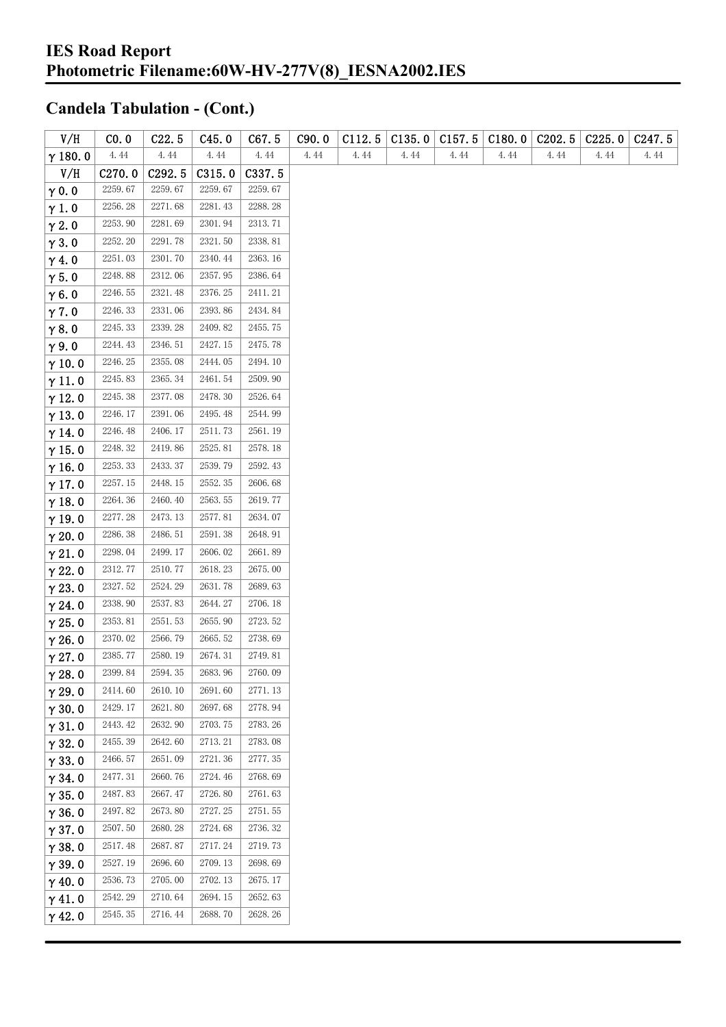| V/H            | CO.0               | C22.5   | C45.0   | C67.5   | C90.0 | C112.5 | C135.0 | C157.5 | C180.0 | C <sub>202.5</sub> | C225.0 | C <sub>247.5</sub> |
|----------------|--------------------|---------|---------|---------|-------|--------|--------|--------|--------|--------------------|--------|--------------------|
| $\gamma$ 180.0 | 4.44               | 4.44    | 4.44    | 4.44    | 4.44  | 4.44   | 4.44   | 4.44   | 4.44   | 4.44               | 4.44   | 4.44               |
| V/H            | C <sub>270.0</sub> | C292.5  | C315.0  | C337.5  |       |        |        |        |        |                    |        |                    |
| $\gamma$ 0.0   | 2259.67            | 2259.67 | 2259.67 | 2259.67 |       |        |        |        |        |                    |        |                    |
| $\gamma$ 1.0   | 2256.28            | 2271.68 | 2281.43 | 2288.28 |       |        |        |        |        |                    |        |                    |
| $\gamma$ 2.0   | 2253.90            | 2281.69 | 2301.94 | 2313.71 |       |        |        |        |        |                    |        |                    |
| $\gamma$ 3.0   | 2252.20            | 2291.78 | 2321.50 | 2338.81 |       |        |        |        |        |                    |        |                    |
| $\gamma$ 4.0   | 2251.03            | 2301.70 | 2340.44 | 2363.16 |       |        |        |        |        |                    |        |                    |
| $\gamma$ 5.0   | 2248.88            | 2312.06 | 2357.95 | 2386.64 |       |        |        |        |        |                    |        |                    |
| $\gamma$ 6.0   | 2246.55            | 2321.48 | 2376.25 | 2411.21 |       |        |        |        |        |                    |        |                    |
| $\gamma$ 7.0   | 2246.33            | 2331.06 | 2393.86 | 2434.84 |       |        |        |        |        |                    |        |                    |
| $\gamma$ 8.0   | 2245.33            | 2339.28 | 2409.82 | 2455.75 |       |        |        |        |        |                    |        |                    |
| $\gamma$ 9.0   | 2244.43            | 2346.51 | 2427.15 | 2475.78 |       |        |        |        |        |                    |        |                    |
| $\gamma$ 10.0  | 2246.25            | 2355.08 | 2444.05 | 2494.10 |       |        |        |        |        |                    |        |                    |
| $\gamma$ 11.0  | 2245.83            | 2365.34 | 2461.54 | 2509.90 |       |        |        |        |        |                    |        |                    |
| $\gamma$ 12.0  | 2245.38            | 2377.08 | 2478.30 | 2526.64 |       |        |        |        |        |                    |        |                    |
| $\gamma$ 13.0  | 2246.17            | 2391.06 | 2495.48 | 2544.99 |       |        |        |        |        |                    |        |                    |
| $\gamma$ 14.0  | 2246.48            | 2406.17 | 2511.73 | 2561.19 |       |        |        |        |        |                    |        |                    |
| $\gamma$ 15.0  | 2248.32            | 2419.86 | 2525.81 | 2578.18 |       |        |        |        |        |                    |        |                    |
| $\gamma$ 16.0  | 2253.33            | 2433.37 | 2539.79 | 2592.43 |       |        |        |        |        |                    |        |                    |
| $\gamma$ 17.0  | 2257.15            | 2448.15 | 2552.35 | 2606.68 |       |        |        |        |        |                    |        |                    |
| $\gamma$ 18.0  | 2264.36            | 2460.40 | 2563.55 | 2619.77 |       |        |        |        |        |                    |        |                    |
| $\gamma$ 19.0  | 2277.28            | 2473.13 | 2577.81 | 2634.07 |       |        |        |        |        |                    |        |                    |
| $\gamma$ 20.0  | 2286.38            | 2486.51 | 2591.38 | 2648.91 |       |        |        |        |        |                    |        |                    |
| $\gamma$ 21.0  | 2298.04            | 2499.17 | 2606.02 | 2661.89 |       |        |        |        |        |                    |        |                    |
| $\gamma$ 22.0  | 2312.77            | 2510.77 | 2618.23 | 2675.00 |       |        |        |        |        |                    |        |                    |
| $\gamma$ 23.0  | 2327.52            | 2524.29 | 2631.78 | 2689.63 |       |        |        |        |        |                    |        |                    |
| $\gamma$ 24.0  | 2338.90            | 2537.83 | 2644.27 | 2706.18 |       |        |        |        |        |                    |        |                    |
| $\gamma$ 25.0  | 2353.81            | 2551.53 | 2655.90 | 2723.52 |       |        |        |        |        |                    |        |                    |
| $\gamma$ 26.0  | 2370.02            | 2566.79 | 2665.52 | 2738.69 |       |        |        |        |        |                    |        |                    |
| $\gamma$ 27.0  | 2385.77            | 2580.19 | 2674.31 | 2749.81 |       |        |        |        |        |                    |        |                    |
| $\gamma$ 28.0  | 2399.84            | 2594.35 | 2683.96 | 2760.09 |       |        |        |        |        |                    |        |                    |
| $\gamma$ 29.0  | 2414.60            | 2610.10 | 2691.60 | 2771.13 |       |        |        |        |        |                    |        |                    |
| $\gamma$ 30.0  | 2429.17            | 2621.80 | 2697.68 | 2778.94 |       |        |        |        |        |                    |        |                    |
| $\gamma$ 31.0  | 2443.42            | 2632.90 | 2703.75 | 2783.26 |       |        |        |        |        |                    |        |                    |
| $\gamma$ 32.0  | 2455.39            | 2642.60 | 2713.21 | 2783.08 |       |        |        |        |        |                    |        |                    |
| $\gamma$ 33.0  | 2466.57            | 2651.09 | 2721.36 | 2777.35 |       |        |        |        |        |                    |        |                    |
| $\gamma$ 34.0  | 2477.31            | 2660.76 | 2724.46 | 2768.69 |       |        |        |        |        |                    |        |                    |
| $\gamma$ 35.0  | 2487.83            | 2667.47 | 2726.80 | 2761.63 |       |        |        |        |        |                    |        |                    |
| $\gamma$ 36.0  | 2497.82            | 2673.80 | 2727.25 | 2751.55 |       |        |        |        |        |                    |        |                    |
| $\gamma$ 37.0  | 2507.50            | 2680.28 | 2724.68 | 2736.32 |       |        |        |        |        |                    |        |                    |
| $\gamma$ 38.0  | 2517.48            | 2687.87 | 2717.24 | 2719.73 |       |        |        |        |        |                    |        |                    |
| $\gamma$ 39.0  | 2527.19            | 2696.60 | 2709.13 | 2698.69 |       |        |        |        |        |                    |        |                    |
| $\gamma$ 40.0  | 2536.73            | 2705.00 | 2702.13 | 2675.17 |       |        |        |        |        |                    |        |                    |
| $\gamma$ 41.0  | 2542.29            | 2710.64 | 2694.15 | 2652.63 |       |        |        |        |        |                    |        |                    |
| $\gamma$ 42.0  | 2545.35            | 2716.44 | 2688.70 | 2628.26 |       |        |        |        |        |                    |        |                    |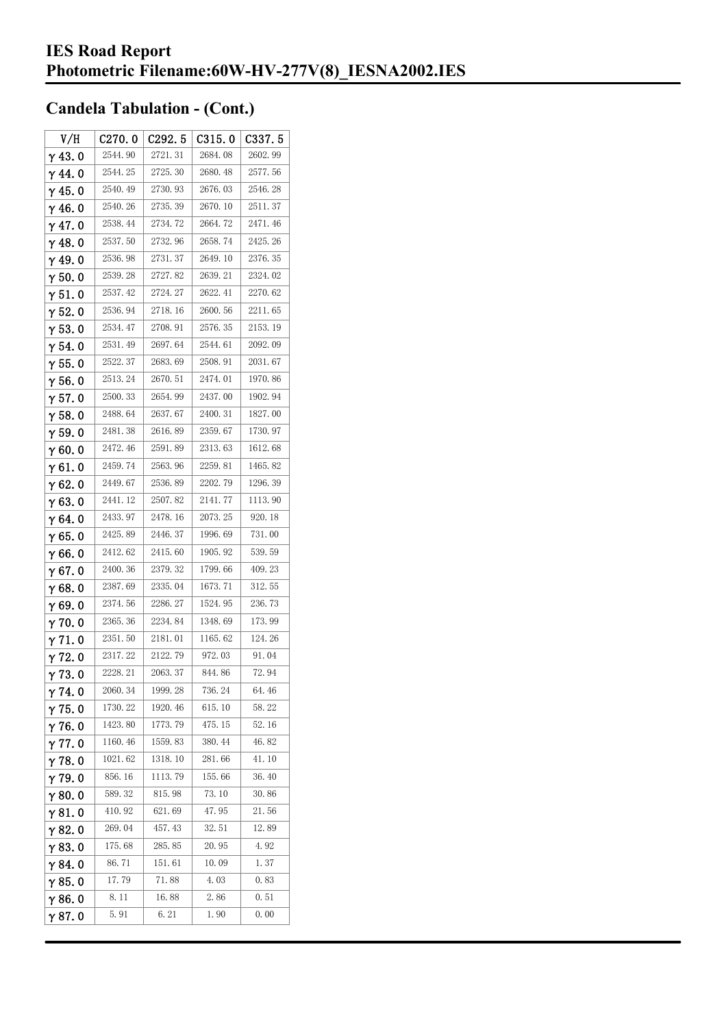| V/H            | C270.0  | C <sub>292.5</sub> | C315.0  | C337.5  |
|----------------|---------|--------------------|---------|---------|
| $\gamma$ 43.0  | 2544.90 | 2721.31            | 2684.08 | 2602.99 |
| $\gamma$ 44.0  | 2544.25 | 2725.30            | 2680.48 | 2577.56 |
| $\gamma$ 45.0  | 2540.49 | 2730.93            | 2676.03 | 2546.28 |
| $\gamma$ 46.0  | 2540.26 | 2735.39            | 2670.10 | 2511.37 |
| $\gamma$ 47.0  | 2538.44 | 2734.72            | 2664.72 | 2471.46 |
| $\gamma$ 48.0  | 2537.50 | 2732.96            | 2658.74 | 2425.26 |
| $\gamma$ 49.0  | 2536.98 | 2731.37            | 2649.10 | 2376.35 |
| $\gamma$ 50.0  | 2539.28 | 2727.82            | 2639.21 | 2324.02 |
| $\gamma$ 51.0  | 2537.42 | 2724.27            | 2622.41 | 2270.62 |
| $\gamma$ 52.0  | 2536.94 | 2718.16            | 2600.56 | 2211.65 |
| $\gamma$ 53.0  | 2534.47 | 2708.91            | 2576.35 | 2153.19 |
| $\gamma$ 54.0  | 2531.49 | 2697.64            | 2544.61 | 2092.09 |
| $\gamma$ 55.0  | 2522.37 | 2683.69            | 2508.91 | 2031.67 |
| γ56.0          | 2513.24 | 2670.51            | 2474.01 | 1970.86 |
| $\gamma$ 57.0  | 2500.33 | 2654.99            | 2437.00 | 1902.94 |
| $\gamma$ 58.0  | 2488.64 | 2637.67            | 2400.31 | 1827.00 |
| $\gamma$ 59.0  | 2481.38 | 2616.89            | 2359.67 | 1730.97 |
| $\gamma$ 60.0  | 2472.46 | 2591.89            | 2313.63 | 1612.68 |
| $\gamma$ 61.0  | 2459.74 | 2563.96            | 2259.81 | 1465.82 |
| $\gamma$ 62.0  | 2449.67 | 2536.89            | 2202.79 | 1296.39 |
| $\gamma$ 63.0  | 2441.12 | 2507.82            | 2141.77 | 1113.90 |
| $\gamma$ 64.0  | 2433.97 | 2478.16            | 2073.25 | 920.18  |
| $\gamma$ 65.0  | 2425.89 | 2446.37            | 1996.69 | 731.00  |
| $\gamma$ 66.0  | 2412.62 | 2415.60            | 1905.92 | 539.59  |
| $\gamma$ 67. 0 | 2400.36 | 2379.32            | 1799.66 | 409.23  |
| $\gamma$ 68.0  | 2387.69 | 2335.04            | 1673.71 | 312.55  |
| $\gamma$ 69.0  | 2374.56 | 2286.27            | 1524.95 | 236.73  |
| $\gamma$ 70.0  | 2365.36 | 2234.84            | 1348.69 | 173.99  |
| $\gamma$ 71.0  | 2351.50 | 2181.01            | 1165.62 | 124.26  |
| $\gamma$ 72.0  | 2317.22 | 2122.79            | 972.03  | 91.04   |
| $\gamma$ 73. 0 | 2228.21 | 2063.37            | 844.86  | 72.94   |
| $\gamma$ 74. 0 | 2060.34 | 1999.28            | 736.24  | 64.46   |
| $\gamma$ 75.0  | 1730.22 | 1920.46            | 615.10  | 58.22   |
| $\gamma$ 76.0  | 1423.80 | 1773.79            | 475.15  | 52.16   |
| $\gamma$ 77.0  | 1160.46 | 1559.83            | 380.44  | 46.82   |
| $\gamma$ 78.0  | 1021.62 | 1318.10            | 281.66  | 41.10   |
| $\gamma$ 79.0  | 856.16  | 1113.79            | 155.66  | 36.40   |
| $\gamma$ 80.0  | 589.32  | 815.98             | 73.10   | 30.86   |
| $\gamma$ 81.0  | 410.92  | 621.69             | 47.95   | 21.56   |
| $\gamma$ 82.0  | 269.04  | 457.43             | 32.51   | 12.89   |
| $\gamma$ 83.0  | 175.68  | 285.85             | 20.95   | 4.92    |
| $\gamma$ 84.0  | 86.71   | 151.61             | 10.09   | 1.37    |
| $\gamma$ 85.0  | 17.79   | 71.88              | 4.03    | 0.83    |
| $\gamma$ 86.0  | 8.11    | 16.88              | 2.86    | 0.51    |
| γ87.0          | 5.91    | 6.21               | 1.90    | 0.00    |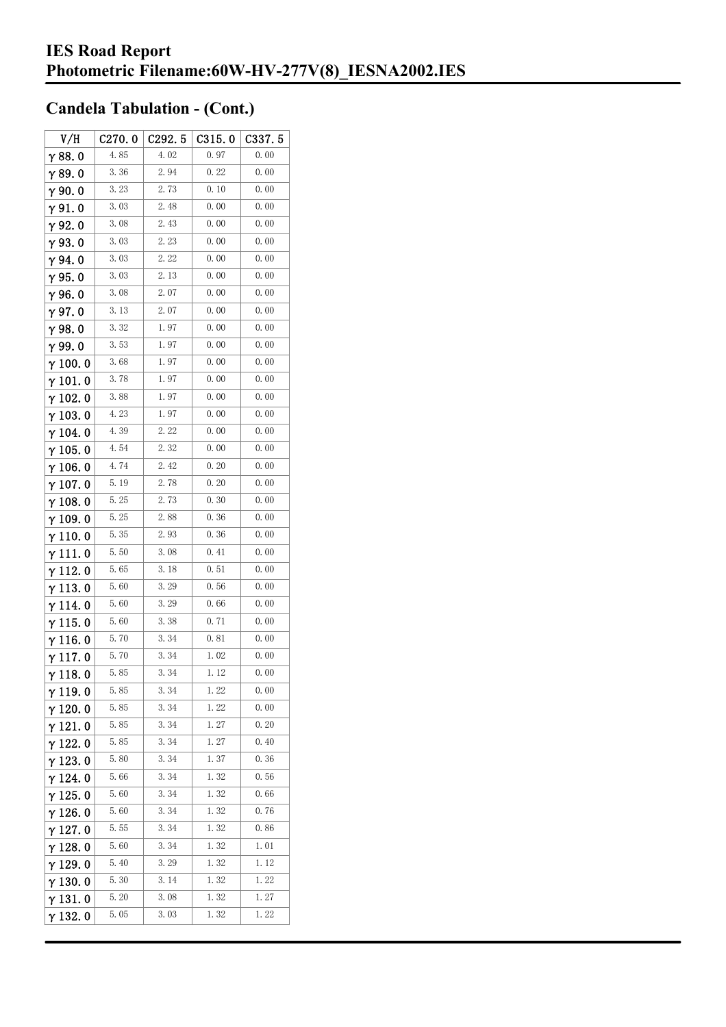| V/H             | C270.0 | C292.5 | C315.0 | C337.5 |
|-----------------|--------|--------|--------|--------|
| $\gamma$ 88.0   | 4.85   | 4.02   | 0.97   | 0.00   |
| $\gamma$ 89.0   | 3.36   | 2.94   | 0.22   | 0.00   |
| γ90.0           | 3.23   | 2.73   | 0.10   | 0.00   |
| $\gamma$ 91.0   | 3.03   | 2.48   | 0.00   | 0.00   |
| γ92.0           | 3.08   | 2.43   | 0.00   | 0.00   |
| $\gamma$ 93. O  | 3.03   | 2.23   | 0.00   | 0.00   |
| $\gamma$ 94.0   | 3.03   | 2.22   | 0.00   | 0.00   |
| $\gamma$ 95.0   | 3.03   | 2.13   | 0.00   | 0.00   |
| $\gamma$ 96.0   | 3.08   | 2.07   | 0.00   | 0.00   |
| γ97.0           | 3.13   | 2.07   | 0.00   | 0.00   |
| $\gamma$ 98.0   | 3.32   | 1.97   | 0.00   | 0.00   |
| γ99.0           | 3.53   | 1.97   | 0.00   | 0.00   |
| $\gamma$ 100.0  | 3.68   | 1.97   | 0.00   | 0.00   |
| $\gamma$ 101.0  | 3.78   | 1.97   | 0.00   | 0.00   |
| $\gamma$ 102. 0 | 3.88   | 1.97   | 0.00   | 0.00   |
| $\gamma$ 103. 0 | 4.23   | 1.97   | 0.00   | 0.00   |
| $\gamma$ 104. 0 | 4.39   | 2.22   | 0.00   | 0.00   |
| $\gamma$ 105. 0 | 4.54   | 2.32   | 0.00   | 0.00   |
| $\gamma$ 106.0  | 4.74   | 2.42   | 0.20   | 0.00   |
| $\gamma$ 107. 0 | 5.19   | 2.78   | 0.20   | 0.00   |
| $\gamma$ 108. 0 | 5.25   | 2.73   | 0.30   | 0.00   |
| $\gamma$ 109.0  | 5.25   | 2.88   | 0.36   | 0.00   |
| $\gamma$ 110. 0 | 5.35   | 2.93   | 0.36   | 0.00   |
| γ111.0          | 5.50   | 3.08   | 0.41   | 0.00   |
| $\gamma$ 112. 0 | 5.65   | 3. 18  | 0.51   | 0.00   |
| $\gamma$ 113. 0 | 5.60   | 3.29   | 0.56   | 0.00   |
| γ114.0          | 5.60   | 3.29   | 0.66   | 0.00   |
| $\gamma$ 115.0  | 5.60   | 3.38   | 0.71   | 0.00   |
| γ116.0          | 5.70   | 3.34   | 0.81   | 0.00   |
| $\gamma$ 117.0  | 5.70   | 3.34   | 1.02   | 0.00   |
| $\gamma$ 118.0  | 5.85   | 3.34   | 1.12   | 0.00   |
| γ119.0          | 5.85   | 3.34   | 1.22   | 0.00   |
| $\gamma$ 120.0  | 5.85   | 3.34   | 1.22   | 0.00   |
| $\gamma$ 121.0  | 5.85   | 3.34   | 1.27   | 0.20   |
| $\gamma$ 122.0  | 5.85   | 3.34   | 1.27   | 0.40   |
| $\gamma$ 123.0  | 5.80   | 3.34   | 1.37   | 0.36   |
| $\gamma$ 124.0  | 5.66   | 3.34   | 1.32   | 0.56   |
| $\gamma$ 125. 0 | 5.60   | 3.34   | 1.32   | 0.66   |
| $\gamma$ 126. 0 | 5.60   | 3.34   | 1.32   | 0.76   |
| $\gamma$ 127. 0 | 5.55   | 3.34   | 1.32   | 0.86   |
| $\gamma$ 128.0  | 5.60   | 3.34   | 1.32   | 1.01   |
| $\gamma$ 129. 0 | 5.40   | 3. 29  | 1.32   | 1.12   |
| $\gamma$ 130. 0 | 5.30   | 3.14   | 1.32   | 1.22   |
| $\gamma$ 131.0  | 5.20   | 3.08   | 1.32   | 1.27   |
| $\gamma$ 132. 0 | 5.05   | 3.03   | 1.32   | 1.22   |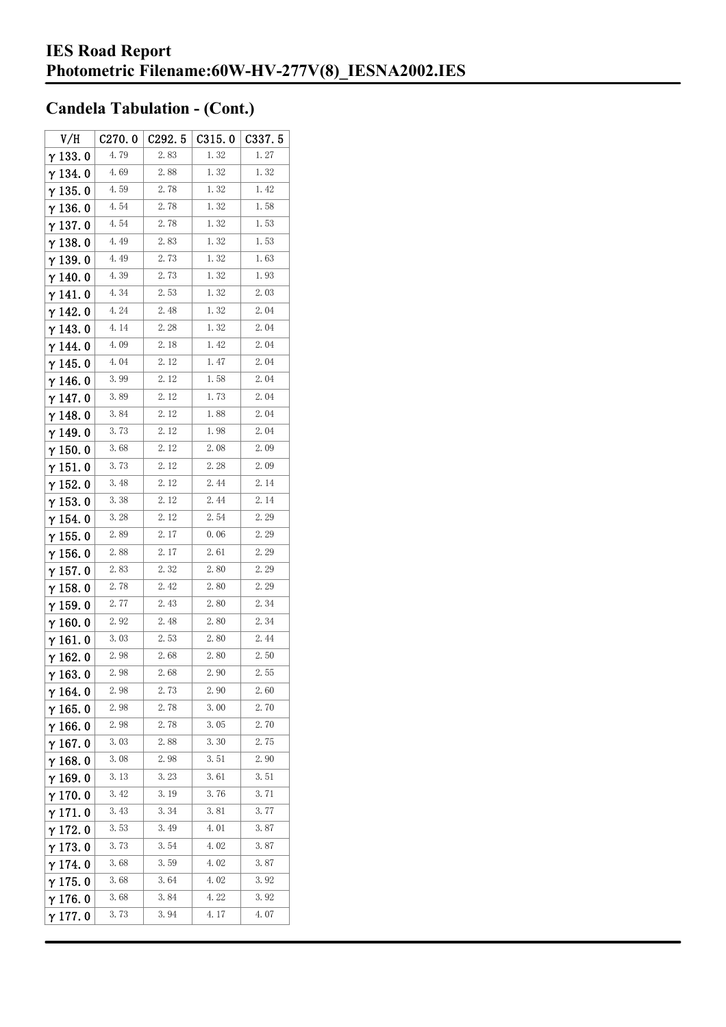| V/H             | C270.0 | C292.5 | C315.0 | C337.5 |
|-----------------|--------|--------|--------|--------|
| $\gamma$ 133.0  | 4.79   | 2.83   | 1.32   | 1.27   |
| $\gamma$ 134.0  | 4.69   | 2.88   | 1.32   | 1.32   |
| $\gamma$ 135.0  | 4.59   | 2.78   | 1.32   | 1.42   |
| $\gamma$ 136.0  | 4.54   | 2.78   | 1.32   | 1.58   |
| $\gamma$ 137. 0 | 4.54   | 2.78   | 1.32   | 1.53   |
| $\gamma$ 138. 0 | 4.49   | 2.83   | 1.32   | 1.53   |
| γ139.0          | 4.49   | 2.73   | 1.32   | 1.63   |
| $\gamma$ 140. 0 | 4.39   | 2.73   | 1.32   | 1.93   |
| $\gamma$ 141. 0 | 4.34   | 2.53   | 1.32   | 2.03   |
| $\gamma$ 142. 0 | 4.24   | 2.48   | 1.32   | 2.04   |
| $\gamma$ 143.0  | 4.14   | 2.28   | 1.32   | 2.04   |
| $\gamma$ 144. 0 | 4.09   | 2.18   | 1.42   | 2.04   |
| γ145.0          | 4.04   | 2. 12  | 1.47   | 2.04   |
| γ146.0          | 3.99   | 2.12   | 1.58   | 2.04   |
| γ 147. 0        | 3.89   | 2.12   | 1.73   | 2.04   |
| $\gamma$ 148. 0 | 3.84   | 2. 12  | 1.88   | 2.04   |
| γ 149. 0        | 3.73   | 2.12   | 1.98   | 2.04   |
| $\gamma$ 150. 0 | 3.68   | 2.12   | 2.08   | 2.09   |
| $\gamma$ 151.0  | 3.73   | 2.12   | 2.28   | 2.09   |
| $\gamma$ 152.0  | 3.48   | 2.12   | 2.44   | 2.14   |
| $\gamma$ 153. 0 | 3.38   | 2.12   | 2.44   | 2.14   |
| $\gamma$ 154. 0 | 3.28   | 2. 12  | 2.54   | 2.29   |
| $\gamma$ 155. 0 | 2.89   | 2.17   | 0.06   | 2.29   |
| $\gamma$ 156. 0 | 2.88   | 2.17   | 2.61   | 2. 29  |
| $\gamma$ 157. 0 | 2.83   | 2.32   | 2.80   | 2.29   |
| $\gamma$ 158.0  | 2.78   | 2.42   | 2.80   | 2.29   |
| $\gamma$ 159. 0 | 2.77   | 2.43   | 2.80   | 2.34   |
| $\gamma$ 160.0  | 2.92   | 2.48   | 2.80   | 2.34   |
| $\gamma$ 161. 0 | 3.03   | 2.53   | 2.80   | 2.44   |
| $\gamma$ 162.0  | 2.98   | 2.68   | 2.80   | 2.50   |
| $\gamma$ 163. 0 | 2.98   | 2.68   | 2.90   | 2.55   |
| $\gamma$ 164. 0 | 2.98   | 2. 73  | 2.90   | 2.60   |
| $\gamma$ 165.0  | 2.98   | 2.78   | 3.00   | 2.70   |
| $\gamma$ 166.0  | 2.98   | 2.78   | 3.05   | 2.70   |
| $\gamma$ 167. 0 | 3.03   | 2.88   | 3.30   | 2.75   |
| $\gamma$ 168.0  | 3.08   | 2.98   | 3.51   | 2.90   |
| $\gamma$ 169.0  | 3.13   | 3.23   | 3.61   | 3.51   |
| $\gamma$ 170.0  | 3.42   | 3.19   | 3.76   | 3.71   |
| $\gamma$ 171. 0 | 3.43   | 3.34   | 3.81   | 3.77   |
| $\gamma$ 172. 0 | 3.53   | 3.49   | 4.01   | 3.87   |
| $\gamma$ 173.0  | 3.73   | 3.54   | 4.02   | 3.87   |
| $\gamma$ 174.0  | 3.68   | 3.59   | 4.02   | 3.87   |
| $\gamma$ 175. 0 | 3.68   | 3.64   | 4.02   | 3.92   |
| $\gamma$ 176.0  | 3.68   | 3.84   | 4.22   | 3.92   |
| γ177.0          | 3.73   | 3.94   | 4.17   | 4.07   |